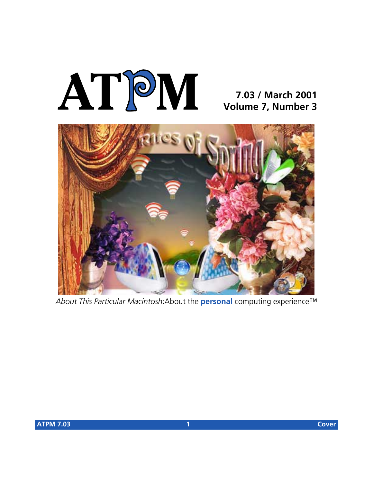# **AT**P**M**

## **7.03 / March 2001 Volume 7, Number 3**



*About This Particular Macintosh*:About the **personal** computing experience™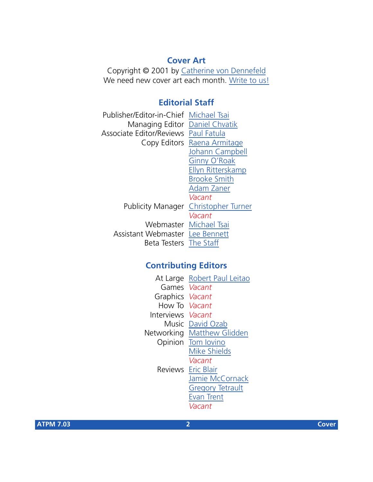#### **Cover Art**

Copyright © 2001 by [Catherine von Dennefeld](mailto:artiste@napanet.net) We need new cover art each month. [Write to us!](mailto:cover-art@atpm.com)

#### **Editorial Staff**

| Publisher/Editor-in-Chief Michael Tsai |                                             |
|----------------------------------------|---------------------------------------------|
| Managing Editor Daniel Chvatik         |                                             |
| Associate Editor/Reviews Paul Fatula   |                                             |
|                                        | Copy Editors Raena Armitage                 |
|                                        | Johann Campbell                             |
|                                        | Ginny O'Roak                                |
|                                        | Ellyn Ritterskamp                           |
|                                        | <b>Brooke Smith</b>                         |
|                                        | <b>Adam Zaner</b>                           |
|                                        | Vacant                                      |
|                                        | <b>Publicity Manager Christopher Turner</b> |
|                                        | Vacant                                      |
|                                        | Webmaster Michael Tsai                      |
| Assistant Webmaster Lee Bennett        |                                             |
| Beta Testers The Staff                 |                                             |
|                                        |                                             |

#### **Contributing Editors**

| At Large        | Robert Paul Leitao        |
|-----------------|---------------------------|
|                 | Games <i>Vacant</i>       |
| Graphics Vacant |                           |
| How To Vacant   |                           |
| Interviews      | Vacant                    |
| Music           | David Ozab                |
| Networking      | <b>Matthew Glidden</b>    |
| Opinion         | Tom Iovino                |
|                 | <b>Mike Shields</b>       |
|                 | Vacant                    |
|                 | <b>Reviews</b> Eric Blair |
|                 | Jamie McCornack           |
|                 | <b>Gregory Tetrault</b>   |
|                 | <b>Evan Trent</b>         |
|                 | Vacant                    |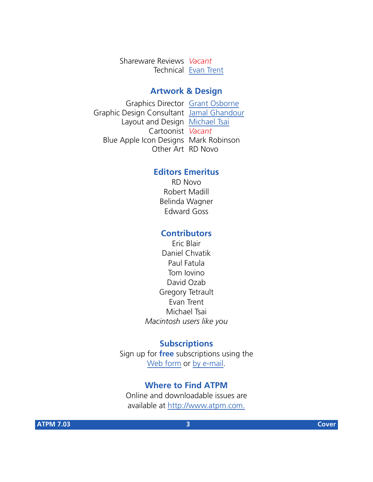Shareware Reviews *Vacant* Technical [Evan Trent](mailto:etrent@atpm.com)

#### **Artwork & Design**

Graphics Director [Grant Osborne](mailto:gosborne@atpm.com) Graphic Design Consultant [Jamal Ghandour](mailto:jghandour@atpm.com) Layout and Design [Michael Tsai](mailto:mtsai@atpm.com) Cartoonist *Vacant* Blue Apple Icon Designs Mark Robinson Other Art RD Novo

#### **Editors Emeritus**

RD Novo Robert Madill Belinda Wagner Edward Goss

#### **Contributors**

Eric Blair Daniel Chvatik Paul Fatula Tom Iovino David Ozab Gregory Tetrault Evan Trent Michael Tsai *Macintosh users like you*

#### **Subscriptions**

Sign up for **free** subscriptions using the [Web form](http://www.atpm.com/subscribe/) or [by e-mail.](mailto:subscriptions@atpm.com)

#### **Where to Find ATPM**

Online and downloadable issues are available at [http://www.atpm.com.](http://www.atpm.com)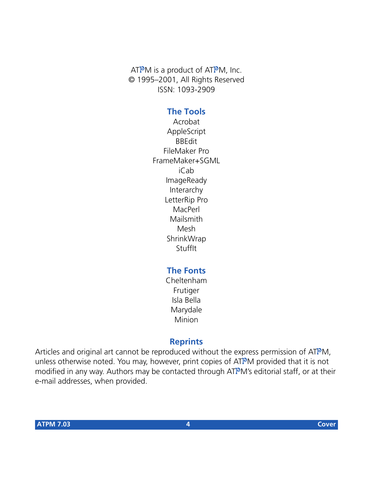ATPM is a product of ATPM, Inc. © 1995–2001, All Rights Reserved ISSN: 1093-2909

#### **The Tools**

Acrobat AppleScript BBEdit FileMaker Pro FrameMaker+SGML iCab ImageReady Interarchy LetterRip Pro MacPerl Mailsmith Mesh **ShrinkWrap StuffIt** 

#### **The Fonts**

Cheltenham Frutiger Isla Bella Marydale Minion

#### **Reprints**

Articles and original art cannot be reproduced without the express permission of ATPM, unless otherwise noted. You may, however, print copies of ATPM provided that it is not modified in any way. Authors may be contacted through ATPM's editorial staff, or at their e-mail addresses, when provided.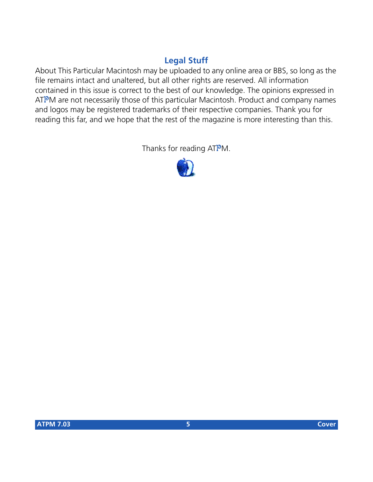#### **Legal Stuff**

About This Particular Macintosh may be uploaded to any online area or BBS, so long as the file remains intact and unaltered, but all other rights are reserved. All information contained in this issue is correct to the best of our knowledge. The opinions expressed in ATPM are not necessarily those of this particular Macintosh. Product and company names and logos may be registered trademarks of their respective companies. Thank you for reading this far, and we hope that the rest of the magazine is more interesting than this.

Thanks for reading ATPM.

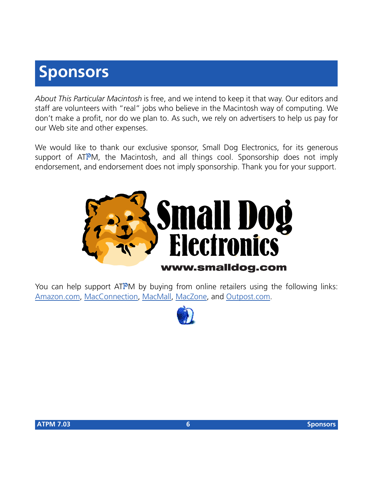# **Sponsors**

*About This Particular Macintosh* is free, and we intend to keep it that way. Our editors and staff are volunteers with "real" jobs who believe in the Macintosh way of computing. We don't make a profit, nor do we plan to. As such, we rely on advertisers to help us pay for our Web site and other expenses.

We would like to thank our exclusive sponsor, Small Dog Electronics, for its generous support of ATPM, the Macintosh, and all things cool. Sponsorship does not imply endorsement, and endorsement does not imply sponsorship. Thank you for your support.



You can help support ATPM by buying from online retailers using the following links: [Amazon.com](http://www.amazon.com/exec/obidos/redirect-home/aboutthisparticu), [MacConnection](http://service.bfast.com/bfast/click/mid9452939?siteid=13311227&bfpage=machomepage), [MacMall](http://www.commission-junction.com/track/track.dll?AID=53427&PID=297078&URL=http%3A%2F%2Fwww%2Emacmall%2Ecom%2Fmacaffiliate), [MacZone,](http://service.bfast.com/bfast/click?bfmid=1942029&siteid=26240435&bfpage=mac_zone) and [Outpost.com.](http://www.linksynergy.com/fs-bin/stat?id=N00D3BtDeo0&offerid=2161&type=3)

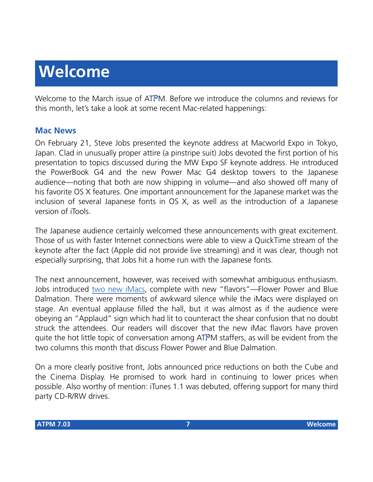# **Welcome**

Welcome to the March issue of ATPM. Before we introduce the columns and reviews for this month, let's take a look at some recent Mac-related happenings:

#### **Mac News**

On February 21, Steve Jobs presented the keynote address at Macworld Expo in Tokyo, Japan. Clad in unusually proper attire (a pinstripe suit) Jobs devoted the first portion of his presentation to topics discussed during the MW Expo SF keynote address. He introduced the PowerBook G4 and the new Power Mac G4 desktop towers to the Japanese audience—noting that both are now shipping in volume—and also showed off many of his favorite OS X features. One important announcement for the Japanese market was the inclusion of several Japanese fonts in OS X, as well as the introduction of a Japanese version of iTools.

The Japanese audience certainly welcomed these announcements with great excitement. Those of us with faster Internet connections were able to view a QuickTime stream of the keynote after the fact (Apple did not provide live streaming) and it was clear, though not especially surprising, that Jobs hit a home run with the Japanese fonts.

The next announcement, however, was received with somewhat ambiguous enthusiasm. Jobs introduced [two new iMacs,](http://www.apple.com/imac/) complete with new "flavors"—Flower Power and Blue Dalmation. There were moments of awkward silence while the iMacs were displayed on stage. An eventual applause filled the hall, but it was almost as if the audience were obeying an "Applaud" sign which had lit to counteract the shear confusion that no doubt struck the attendees. Our readers will discover that the new iMac flavors have proven quite the hot little topic of conversation among ATPM staffers, as will be evident from the two columns this month that discuss Flower Power and Blue Dalmation.

On a more clearly positive front, Jobs announced price reductions on both the Cube and the Cinema Display. He promised to work hard in continuing to lower prices when possible. Also worthy of mention: iTunes 1.1 was debuted, offering support for many third party CD-R/RW drives.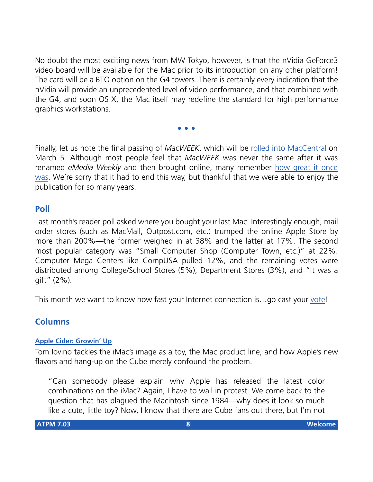No doubt the most exciting news from MW Tokyo, however, is that the nVidia GeForce3 video board will be available for the Mac prior to its introduction on any other platform! The card will be a BTO option on the G4 towers. There is certainly every indication that the nVidia will provide an unprecedented level of video performance, and that combined with the G4, and soon OS X, the Mac itself may redefine the standard for high performance graphics workstations.

**• • •**

Finally, let us note the final passing of *MacWEEK*, which will be [rolled into MacCentral](http://macweek.zdnet.com/2001/02/25/macweek.html) on March 5. Although most people feel that *MacWEEK* was never the same after it was renamed *eMedia Weekly* and then brought online, many remember [how great it once](http://macweek.zdnet.com/2001/02/25/0203requiem.html) [was](http://macweek.zdnet.com/2001/02/25/0203requiem.html). We're sorry that it had to end this way, but thankful that we were able to enjoy the publication for so many years.

#### **Poll**

Last month's reader poll asked where you bought your last Mac. Interestingly enough, mail order stores (such as MacMall, Outpost.com, etc.) trumped the online Apple Store by more than 200%—the former weighed in at 38% and the latter at 17%. The second most popular category was "Small Computer Shop (Computer Town, etc.)" at 22%. Computer Mega Centers like CompUSA pulled 12%, and the remaining votes were distributed among College/School Stores (5%), Department Stores (3%), and "It was a gift" (2%).

This month we want to know how fast your Internet connection is…go cast your [vote](http://www.atpm.com/index.shtml#poll)!

#### **Columns**

#### **[Apple Cider: Growin' Up](http://www.atpm.com/cider.shtml)**

Tom Iovino tackles the iMac's image as a toy, the Mac product line, and how Apple's new flavors and hang-up on the Cube merely confound the problem.

"Can somebody please explain why Apple has released the latest color combinations on the iMac? Again, I have to wail in protest. We come back to the question that has plagued the Macintosh since 1984—why does it look so much like a cute, little toy? Now, I know that there are Cube fans out there, but I'm not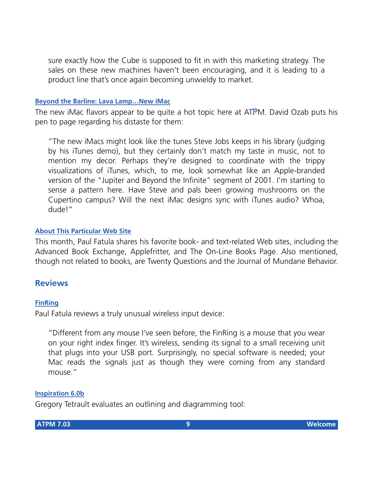sure exactly how the Cube is supposed to fit in with this marketing strategy. The sales on these new machines haven't been encouraging, and it is leading to a product line that's once again becoming unwieldy to market.

#### **[Beyond the Barline: Lava Lamp…New iMac](http://www.atpm.com/barline.shtml)**

The new iMac flavors appear to be quite a hot topic here at ATPM. David Ozab puts his pen to page regarding his distaste for them:

"The new iMacs might look like the tunes Steve Jobs keeps in his library (judging by his iTunes demo), but they certainly don't match my taste in music, not to mention my decor. Perhaps they're designed to coordinate with the trippy visualizations of iTunes, which, to me, look somewhat like an Apple-branded version of the "Jupiter and Beyond the Infinite" segment of 2001. I'm starting to sense a pattern here. Have Steve and pals been growing mushrooms on the Cupertino campus? Will the next iMac designs sync with iTunes audio? Whoa, dude!"

#### **[About This Particular Web Site](http://www.atpm.com/atpw.shtml)**

This month, Paul Fatula shares his favorite book- and text-related Web sites, including the Advanced Book Exchange, Applefritter, and The On-Line Books Page. Also mentioned, though not related to books, are Twenty Questions and the Journal of Mundane Behavior.

#### **Reviews**

#### **[FinRing](http://www.atpm.com/finring.shtml)**

Paul Fatula reviews a truly unusual wireless input device:

"Different from any mouse I've seen before, the FinRing is a mouse that you wear on your right index finger. It's wireless, sending its signal to a small receiving unit that plugs into your USB port. Surprisingly, no special software is needed; your Mac reads the signals just as though they were coming from any standard mouse."

#### **[Inspiration 6.0b](http://www.atpm.com/inspiration.shtml)**

Gregory Tetrault evaluates an outlining and diagramming tool: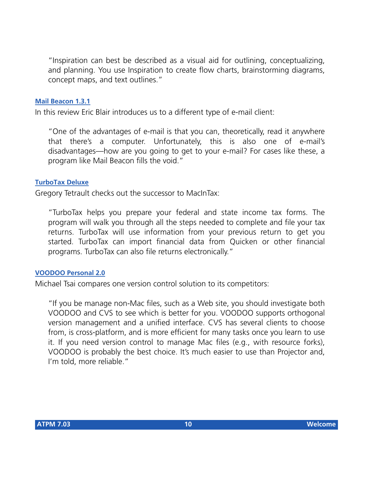"Inspiration can best be described as a visual aid for outlining, conceptualizing, and planning. You use Inspiration to create flow charts, brainstorming diagrams, concept maps, and text outlines."

#### **[Mail Beacon 1.3.1](http://www.atpm.com/mail-beacon.shtml)**

In this review Eric Blair introduces us to a different type of e-mail client:

"One of the advantages of e-mail is that you can, theoretically, read it anywhere that there's a computer. Unfortunately, this is also one of e-mail's disadvantages—how are you going to get to your e-mail? For cases like these, a program like Mail Beacon fills the void."

#### **[TurboTax Deluxe](http://www.atpm.com/turbotax.shtml)**

Gregory Tetrault checks out the successor to MacInTax:

"TurboTax helps you prepare your federal and state income tax forms. The program will walk you through all the steps needed to complete and file your tax returns. TurboTax will use information from your previous return to get you started. TurboTax can import financial data from Quicken or other financial programs. TurboTax can also file returns electronically."

#### **[VOODOO Personal 2.0](http://www.atpm.com/voodoo-personal.shtml)**

Michael Tsai compares one version control solution to its competitors:

"If you be manage non-Mac files, such as a Web site, you should investigate both VOODOO and CVS to see which is better for you. VOODOO supports orthogonal version management and a unified interface. CVS has several clients to choose from, is cross-platform, and is more efficient for many tasks once you learn to use it. If you need version control to manage Mac files (e.g., with resource forks), VOODOO is probably the best choice. It's much easier to use than Projector and, I'm told, more reliable."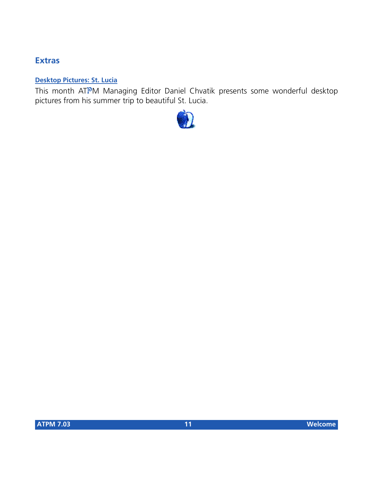#### **Extras**

#### **[Desktop Pictures: St. Lucia](http://www.atpm.com/desktop-pictures.shtml)**

This month ATPM Managing Editor Daniel Chvatik presents some wonderful desktop pictures from his summer trip to beautiful St. Lucia.

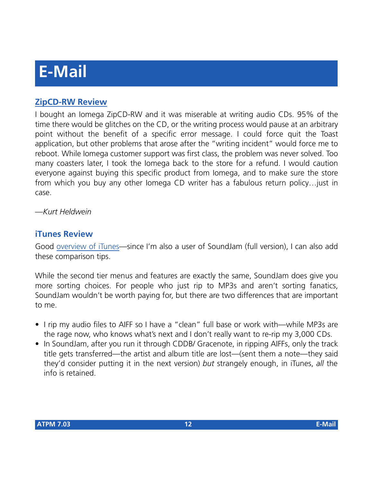# **E-Mail**

#### **[ZipCD-RW Review](http://www.atpm.com/7.02/zipcd.shtml)**

I bought an Iomega ZipCD-RW and it was miserable at writing audio CDs. 95% of the time there would be glitches on the CD, or the writing process would pause at an arbitrary point without the benefit of a specific error message. I could force quit the Toast application, but other problems that arose after the "writing incident" would force me to reboot. While Iomega customer support was first class, the problem was never solved. Too many coasters later, I took the Iomega back to the store for a refund. I would caution everyone against buying this specific product from Iomega, and to make sure the store from which you buy any other Iomega CD writer has a fabulous return policy…just in case.

*—Kurt Heldwein*

#### **iTunes Review**

Good [overview of iTunes—](http://www.atpm.com/7.02/itunes.shtml)since I'm also a user of SoundJam (full version), I can also add these comparison tips.

While the second tier menus and features are exactly the same, SoundJam does give you more sorting choices. For people who just rip to MP3s and aren't sorting fanatics, SoundJam wouldn't be worth paying for, but there are two differences that are important to me.

- I rip my audio files to AIFF so I have a "clean" full base or work with—while MP3s are the rage now, who knows what's next and I don't really want to re-rip my 3,000 CDs.
- In SoundJam, after you run it through CDDB/ Gracenote, in ripping AIFFs, only the track title gets transferred—the artist and album title are lost—(sent them a note—they said they'd consider putting it in the next version) *but* strangely enough, in iTunes, *all* the info is retained.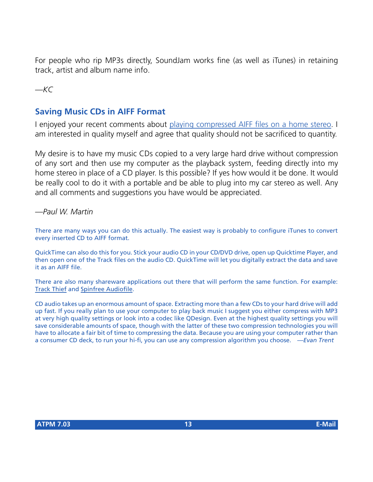For people who rip MP3s directly, SoundJam works fine (as well as iTunes) in retaining track, artist and album name info.

*—KC*

#### **Saving Music CDs in AIFF Format**

I enjoyed your recent comments about [playing compressed AIFF files on a home stereo.](http://www.atpm.com/7.02/compressed-sound.shtml) I am interested in quality myself and agree that quality should not be sacrificed to quantity.

My desire is to have my music CDs copied to a very large hard drive without compression of any sort and then use my computer as the playback system, feeding directly into my home stereo in place of a CD player. Is this possible? If yes how would it be done. It would be really cool to do it with a portable and be able to plug into my car stereo as well. Any and all comments and suggestions you have would be appreciated.

*—Paul W. Martin*

There are many ways you can do this actually. The easiest way is probably to configure iTunes to convert every inserted CD to AIFF format.

QuickTime can also do this for you. Stick your audio CD in your CD/DVD drive, open up Quicktime Player, and then open one of the Track files on the audio CD. QuickTime will let you digitally extract the data and save it as an AIFF file.

There are also many shareware applications out there that will perform the same function. For example: [Track Thief](http://www.versiontracker.com/moreinfo.fcgi?id=4581) and [Spinfree Audiofile.](http://www.versiontracker.com/moreinfo.fcgi?id=4165)

CD audio takes up an enormous amount of space. Extracting more than a few CDs to your hard drive will add up fast. If you really plan to use your computer to play back music I suggest you either compress with MP3 at very high quality settings or look into a codec like QDesign. Even at the highest quality settings you will save considerable amounts of space, though with the latter of these two compression technologies you will have to allocate a fair bit of time to compressing the data. Because you are using your computer rather than a consumer CD deck, to run your hi-fi, you can use any compression algorithm you choose. *—Evan Trent*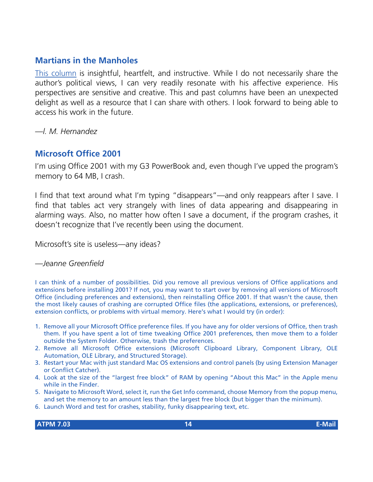#### **Martians in the Manholes**

[This column](http://www.atpm.com/7.02/aka.shtml) is insightful, heartfelt, and instructive. While I do not necessarily share the author's political views, I can very readily resonate with his affective experience. His perspectives are sensitive and creative. This and past columns have been an unexpected delight as well as a resource that I can share with others. I look forward to being able to access his work in the future.

*—l. M. Hernandez*

#### **Microsoft Office 2001**

I'm using Office 2001 with my G3 PowerBook and, even though I've upped the program's memory to 64 MB, I crash.

I find that text around what I'm typing "disappears"—and only reappears after I save. I find that tables act very strangely with lines of data appearing and disappearing in alarming ways. Also, no matter how often I save a document, if the program crashes, it doesn't recognize that I've recently been using the document.

Microsoft's site is useless—any ideas?

*—Jeanne Greenfield*

I can think of a number of possibilities. Did you remove all previous versions of Office applications and extensions before installing 2001? If not, you may want to start over by removing all versions of Microsoft Office (including preferences and extensions), then reinstalling Office 2001. If that wasn't the cause, then the most likely causes of crashing are corrupted Office files (the applications, extensions, or preferences), extension conflicts, or problems with virtual memory. Here's what I would try (in order):

- 1. Remove all your Microsoft Office preference files. If you have any for older versions of Office, then trash them. If you have spent a lot of time tweaking Office 2001 preferences, then move them to a folder outside the System Folder. Otherwise, trash the preferences.
- 2. Remove all Microsoft Office extensions (Microsoft Clipboard Library, Component Library, OLE Automation, OLE Library, and Structured Storage).
- 3. Restart your Mac with just standard Mac OS extensions and control panels (by using Extension Manager or Conflict Catcher).
- 4. Look at the size of the "largest free block" of RAM by opening "About this Mac" in the Apple menu while in the Finder.
- 5. Navigate to Microsoft Word, select it, run the Get Info command, choose Memory from the popup menu, and set the memory to an amount less than the largest free block (but bigger than the minimum).
- 6. Launch Word and test for crashes, stability, funky disappearing text, etc.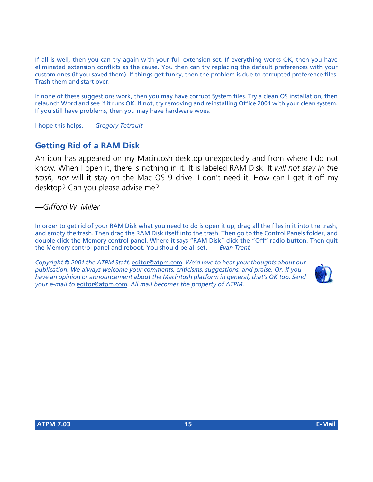If all is well, then you can try again with your full extension set. If everything works OK, then you have eliminated extension conflicts as the cause. You then can try replacing the default preferences with your custom ones (if you saved them). If things get funky, then the problem is due to corrupted preference files. Trash them and start over.

If none of these suggestions work, then you may have corrupt System files. Try a clean OS installation, then relaunch Word and see if it runs OK. If not, try removing and reinstalling Office 2001 with your clean system. If you still have problems, then you may have hardware woes.

I hope this helps. *—Gregory Tetrault*

#### **Getting Rid of a RAM Disk**

An icon has appeared on my Macintosh desktop unexpectedly and from where I do not know. When I open it, there is nothing in it. It is labeled RAM Disk. It *will not stay in the trash, nor* will it stay on the Mac OS 9 drive. I don't need it. How can I get it off my desktop? Can you please advise me?

*—Gifford W. Miller*

In order to get rid of your RAM Disk what you need to do is open it up, drag all the files in it into the trash, and empty the trash. Then drag the RAM Disk itself into the trash. Then go to the Control Panels folder, and double-click the Memory control panel. Where it says "RAM Disk" click the "Off" radio button. Then quit the Memory control panel and reboot. You should be all set. *—Evan Trent*

*Copyright © 2001 the ATPM Staff,* [editor@atpm.com](mailto:editor@atpm.com)*. We'd love to hear your thoughts about our publication. We always welcome your comments, criticisms, suggestions, and praise. Or, if you have an opinion or announcement about the Macintosh platform in general, that's OK too. Send your e-mail to* [editor@atpm.com](mailto:editor@atpm.com)*. All mail becomes the property of ATPM.*

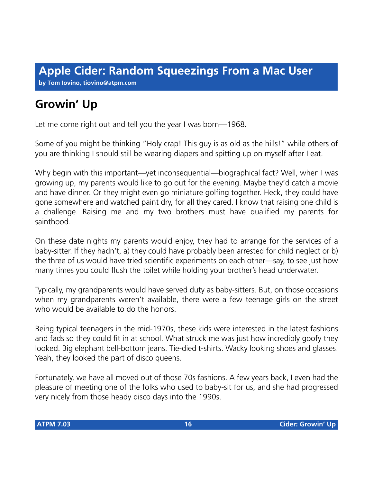# **Growin' Up**

Let me come right out and tell you the year I was born—1968.

Some of you might be thinking "Holy crap! This guy is as old as the hills!" while others of you are thinking I should still be wearing diapers and spitting up on myself after I eat.

Why begin with this important—yet inconsequential—biographical fact? Well, when I was growing up, my parents would like to go out for the evening. Maybe they'd catch a movie and have dinner. Or they might even go miniature golfing together. Heck, they could have gone somewhere and watched paint dry, for all they cared. I know that raising one child is a challenge. Raising me and my two brothers must have qualified my parents for sainthood.

On these date nights my parents would enjoy, they had to arrange for the services of a baby-sitter. If they hadn't, a) they could have probably been arrested for child neglect or b) the three of us would have tried scientific experiments on each other—say, to see just how many times you could flush the toilet while holding your brother's head underwater.

Typically, my grandparents would have served duty as baby-sitters. But, on those occasions when my grandparents weren't available, there were a few teenage girls on the street who would be available to do the honors.

Being typical teenagers in the mid-1970s, these kids were interested in the latest fashions and fads so they could fit in at school. What struck me was just how incredibly goofy they looked. Big elephant bell-bottom jeans. Tie-died t-shirts. Wacky looking shoes and glasses. Yeah, they looked the part of disco queens.

Fortunately, we have all moved out of those 70s fashions. A few years back, I even had the pleasure of meeting one of the folks who used to baby-sit for us, and she had progressed very nicely from those heady disco days into the 1990s.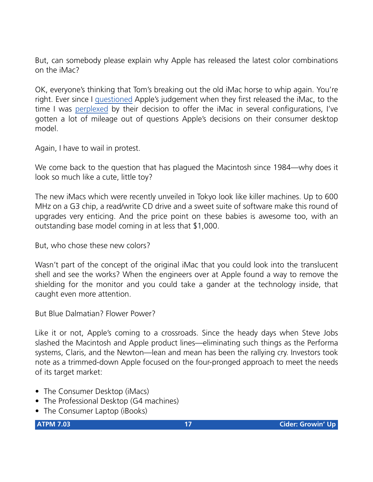But, can somebody please explain why Apple has released the latest color combinations on the iMac?

OK, everyone's thinking that Tom's breaking out the old iMac horse to whip again. You're right. Ever since I [questioned](http://www.atpm.com/4.06/page6.shtml) Apple's judgement when they first released the iMac, to the time I was [perplexed](http://www.atpm.com/6.01/cider.shtml) by their decision to offer the iMac in several configurations, I've gotten a lot of mileage out of questions Apple's decisions on their consumer desktop model.

Again, I have to wail in protest.

We come back to the question that has plagued the Macintosh since 1984—why does it look so much like a cute, little toy?

The new iMacs which were recently unveiled in Tokyo look like killer machines. Up to 600 MHz on a G3 chip, a read/write CD drive and a sweet suite of software make this round of upgrades very enticing. And the price point on these babies is awesome too, with an outstanding base model coming in at less that \$1,000.

But, who chose these new colors?

Wasn't part of the concept of the original iMac that you could look into the translucent shell and see the works? When the engineers over at Apple found a way to remove the shielding for the monitor and you could take a gander at the technology inside, that caught even more attention.

But Blue Dalmatian? Flower Power?

Like it or not, Apple's coming to a crossroads. Since the heady days when Steve Jobs slashed the Macintosh and Apple product lines—eliminating such things as the Performa systems, Claris, and the Newton—lean and mean has been the rallying cry. Investors took note as a trimmed-down Apple focused on the four-pronged approach to meet the needs of its target market:

- The Consumer Desktop (iMacs)
- The Professional Desktop (G4 machines)
- The Consumer Laptop (iBooks)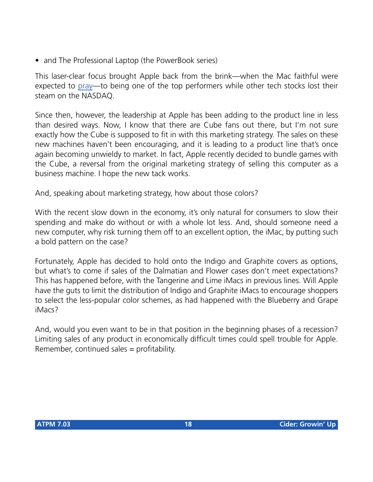• and The Professional Laptop (the PowerBook series)

This laser-clear focus brought Apple back from the brink—when the Mac faithful were expected to [pray—](http://www.wired.com/wired/archive/5.06/)to being one of the top performers while other tech stocks lost their steam on the NASDAQ.

Since then, however, the leadership at Apple has been adding to the product line in less than desired ways. Now, I know that there are Cube fans out there, but I'm not sure exactly how the Cube is supposed to fit in with this marketing strategy. The sales on these new machines haven't been encouraging, and it is leading to a product line that's once again becoming unwieldy to market. In fact, Apple recently decided to bundle games with the Cube, a reversal from the original marketing strategy of selling this computer as a business machine. I hope the new tack works.

And, speaking about marketing strategy, how about those colors?

With the recent slow down in the economy, it's only natural for consumers to slow their spending and make do without or with a whole lot less. And, should someone need a new computer, why risk turning them off to an excellent option, the iMac, by putting such a bold pattern on the case?

Fortunately, Apple has decided to hold onto the Indigo and Graphite covers as options, but what's to come if sales of the Dalmatian and Flower cases don't meet expectations? This has happened before, with the Tangerine and Lime iMacs in previous lines. Will Apple have the guts to limit the distribution of Indigo and Graphite iMacs to encourage shoppers to select the less-popular color schemes, as had happened with the Blueberry and Grape iMacs?

And, would you even want to be in that position in the beginning phases of a recession? Limiting sales of any product in economically difficult times could spell trouble for Apple. Remember, continued sales = profitability.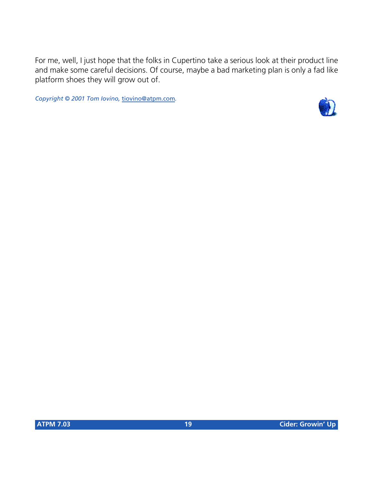For me, well, I just hope that the folks in Cupertino take a serious look at their product line and make some careful decisions. Of course, maybe a bad marketing plan is only a fad like platform shoes they will grow out of.

*Copyright © 2001 Tom Iovino,* [tiovino@atpm.com](mailto:tiovino@atpm.com)*.*

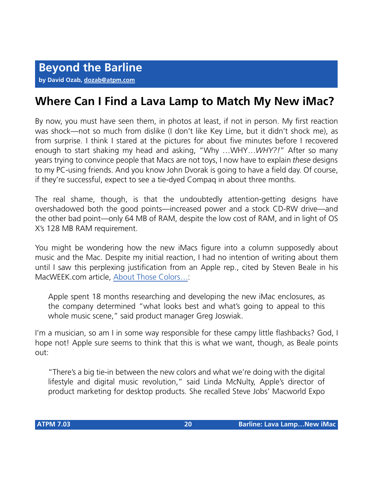## **Where Can I Find a Lava Lamp to Match My New iMac?**

By now, you must have seen them, in photos at least, if not in person. My first reaction was shock—not so much from dislike (I don't like Key Lime, but it didn't shock me), as from surprise. I think I stared at the pictures for about five minutes before I recovered enough to start shaking my head and asking, "Why …WHY…*WHY?!*" After so many years trying to convince people that Macs are not toys, I now have to explain *these* designs to my PC-using friends. And you know John Dvorak is going to have a field day. Of course, if they're successful, expect to see a tie-dyed Compaq in about three months.

The real shame, though, is that the undoubtedly attention-getting designs have overshadowed both the good points—increased power and a stock CD-RW drive—and the other bad point—only 64 MB of RAM, despite the low cost of RAM, and in light of OS X's 128 MB RAM requirement.

You might be wondering how the new iMacs figure into a column supposedly about music and the Mac. Despite my initial reaction, I had no intention of writing about them until I saw this perplexing justification from an Apple rep., cited by Steven Beale in his MacWEEK.com article, [About Those Colors…:](http://macweek.zdnet.com/2001/02/18/0222icolors.html)

Apple spent 18 months researching and developing the new iMac enclosures, as the company determined "what looks best and what's going to appeal to this whole music scene," said product manager Greg Joswiak.

I'm a musician, so am I in some way responsible for these campy little flashbacks? God, I hope not! Apple sure seems to think that this is what we want, though, as Beale points out:

"There's a big tie-in between the new colors and what we're doing with the digital lifestyle and digital music revolution," said Linda McNulty, Apple's director of product marketing for desktop products. She recalled Steve Jobs' Macworld Expo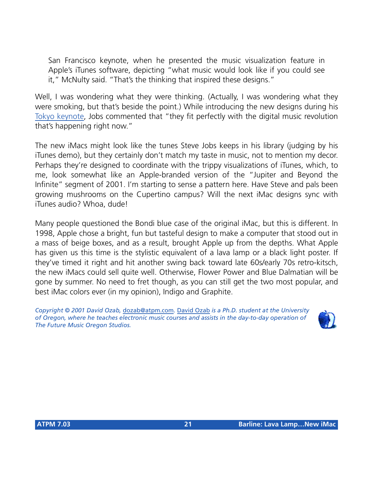San Francisco keynote, when he presented the music visualization feature in Apple's iTunes software, depicting "what music would look like if you could see it," McNulty said. "That's the thinking that inspired these designs."

Well, I was wondering what they were thinking. (Actually, I was wondering what they were smoking, but that's beside the point.) While introducing the new designs during his [Tokyo keynote,](http://www.apple.com/quicktime/qtv/mwtky01) Jobs commented that "they fit perfectly with the digital music revolution that's happening right now."

The new iMacs might look like the tunes Steve Jobs keeps in his library (judging by his iTunes demo), but they certainly don't match my taste in music, not to mention my decor. Perhaps they're designed to coordinate with the trippy visualizations of iTunes, which, to me, look somewhat like an Apple-branded version of the "Jupiter and Beyond the Infinite" segment of 2001. I'm starting to sense a pattern here. Have Steve and pals been growing mushrooms on the Cupertino campus? Will the next iMac designs sync with iTunes audio? Whoa, dude!

Many people questioned the Bondi blue case of the original iMac, but this is different. In 1998, Apple chose a bright, fun but tasteful design to make a computer that stood out in a mass of beige boxes, and as a result, brought Apple up from the depths. What Apple has given us this time is the stylistic equivalent of a lava lamp or a black light poster. If they've timed it right and hit another swing back toward late 60s/early 70s retro-kitsch, the new iMacs could sell quite well. Otherwise, Flower Power and Blue Dalmatian will be gone by summer. No need to fret though, as you can still get the two most popular, and best iMac colors ever (in my opinion), Indigo and Graphite.

*Copyright © 2001 David Ozab,* [dozab@atpm.com](mailto:dozab@atpm.com)*.* [David Ozab](http://darkwing.uoregon.edu/%7Edlo) *is a Ph.D. student at the University of Oregon, where he teaches electronic music courses and assists in the day-to-day operation of The Future Music Oregon Studios.*

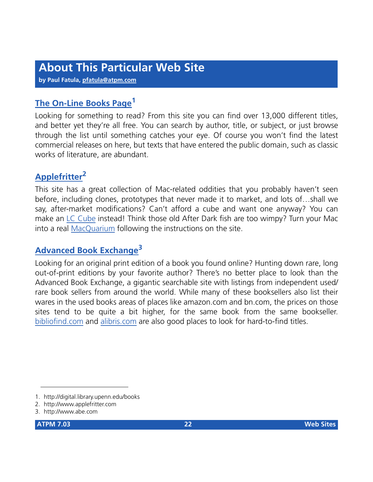**by Paul Fatula, [pfatula@atpm.com](mailto:pfatula@atpm.com)**

#### **[The On-Line Books Page](http://digital.library.upenn.edu/books)<sup>1</sup>**

Looking for something to read? From this site you can find over 13,000 different titles, and better yet they're all free. You can search by author, title, or subject, or just browse through the list until something catches your eye. Of course you won't find the latest commercial releases on here, but texts that have entered the public domain, such as classic works of literature, are abundant.

#### **[Applefritter](http://www.applefritter.com)<sup>2</sup>**

This site has a great collection of Mac-related oddities that you probably haven't seen before, including clones, prototypes that never made it to market, and lots of…shall we say, after-market modifications? Can't afford a cube and want one anyway? You can make an [LC Cube](http://www.applefritter.com/hacks/lccube/index.html) instead! Think those old After Dark fish are too wimpy? Turn your Mac into a real [MacQuarium](http://www.applefritter.com/hacks/macquarium/index.html) following the instructions on the site.

### **[Advanced Book Exchange](http://www.abe.com)<sup>3</sup>**

Looking for an original print edition of a book you found online? Hunting down rare, long out-of-print editions by your favorite author? There's no better place to look than the Advanced Book Exchange, a gigantic searchable site with listings from independent used/ rare book sellers from around the world. While many of these booksellers also list their wares in the used books areas of places like amazon.com and bn.com, the prices on those sites tend to be quite a bit higher, for the same book from the same bookseller. [bibliofind.com](http://www.bibliofind.com) and [alibris.com](http://www.alibris.com) are also good places to look for hard-to-find titles.

<sup>1.</sup> http://digital.library.upenn.edu/books

<sup>2.</sup> http://www.applefritter.com

<sup>3.</sup> http://www.abe.com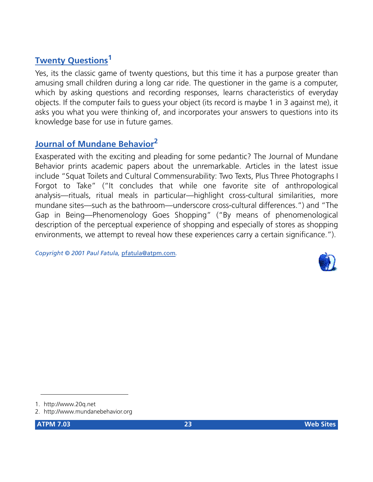#### **[Twenty Questions](http://www.20q.net)<sup>1</sup>**

Yes, its the classic game of twenty questions, but this time it has a purpose greater than amusing small children during a long car ride. The questioner in the game is a computer, which by asking questions and recording responses, learns characteristics of everyday objects. If the computer fails to guess your object (its record is maybe 1 in 3 against me), it asks you what you were thinking of, and incorporates your answers to questions into its knowledge base for use in future games.

#### **[Journal of Mundane Behavior](http://www.mundanebehavior.org)<sup>2</sup>**

Exasperated with the exciting and pleading for some pedantic? The Journal of Mundane Behavior prints academic papers about the unremarkable. Articles in the latest issue include "Squat Toilets and Cultural Commensurability: Two Texts, Plus Three Photographs I Forgot to Take" ("It concludes that while one favorite site of anthropological analysis—rituals, ritual meals in particular—highlight cross-cultural similarities, more mundane sites—such as the bathroom—underscore cross-cultural differences.") and "The Gap in Being—Phenomenology Goes Shopping" ("By means of phenomenological description of the perceptual experience of shopping and especially of stores as shopping environments, we attempt to reveal how these experiences carry a certain significance.").

*Copyright © 2001 Paul Fatula,* [pfatula@atpm.com](mailto:pfatula@atpm.com)*.*



<sup>1.</sup> http://www.20q.net

<sup>2.</sup> http://www.mundanebehavior.org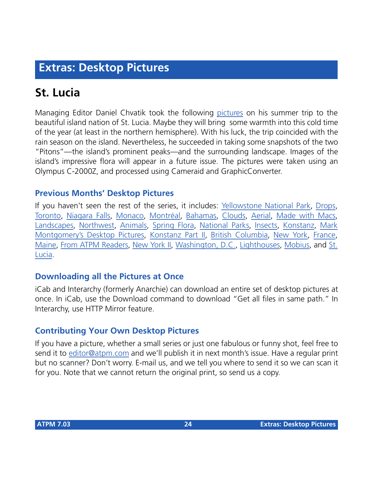## **Extras: Desktop Pictures**

# **St. Lucia**

Managing Editor Daniel Chvatik took the following [pictures](http://www.atpm.com/7.03/st-lucia/) on his summer trip to the beautiful island nation of St. Lucia. Maybe they will bring some warmth into this cold time of the year (at least in the northern hemisphere). With his luck, the trip coincided with the rain season on the island. Nevertheless, he succeeded in taking some snapshots of the two "Pitons"—the island's prominent peaks—and the surrounding landscape. Images of the island's impressive flora will appear in a future issue. The pictures were taken using an Olympus C-2000Z, and processed using Cameraid and GraphicConverter.

#### **Previous Months' Desktop Pictures**

If you haven't seen the rest of the series, it includes: [Yellowstone National Park,](http://www.atpm.com/5.03/yellowstone.shtml) [Drops,](http://www.atpm.com/5.05/drops/) [Toronto,](http://www.atpm.com/5.07/toronto/) [Niagara Falls](http://www.atpm.com/5.08/niagara/), [Monaco,](http://www.atpm.com/5.09/monaco/) [Montréal,](http://www.atpm.com/5.10/montreal/) [Bahamas](http://www.atpm.com/5.11/bahamas/), [Clouds](http://www.atpm.com/5.12/clouds/), [Aerial](http://www.atpm.com/6.01/aerial/), [Made with Macs,](http://www.atpm.com/6.02/madewithmacs/) [Landscapes](http://www.atpm.com/6.03/landscapes/), [Northwest,](http://www.atpm.com/6.04/northwest/) [Animals](http://www.atpm.com/6.05/animals/), [Spring Flora,](http://www.atpm.com/6.06/spring-flora/) [National Parks](http://www.atpm.com/6.07/national-parks/), [Insects](http://www.atpm.com/6.08/insects/), [Konstanz](http://www.atpm.com/6.08/konstanz/), [Mark](http://www.atpm.com/6.09/montgomery/) [Montgomery's Desktop Pictures,](http://www.atpm.com/6.09/montgomery/) [Konstanz Part II,](http://www.atpm.com/6.09/konstanz) [British Columbia,](http://www.atpm.com/6.10/british-columbia/) [New York](http://www.atpm.com/6.10/new-york/), [France,](http://www.atpm.com/6.11/france/) [Maine](http://www.atpm.com/6.11/maine/), [From ATPM Readers](http://www.atpm.com/6.12/from-atpm-readers/), [New York II,](http://www.atpm.com/7.01/new-york-ii/) [Washington, D.C.,](http://www.atpm.com/7.01/washington-dc/) [Lighthouses,](http://www.atpm.com/7.02/lighthouses/) [Mobius](http://www.atpm.com/7.02/mobius/), and [St.](http://www.atpm.com/7.03/st-lucia/) [Lucia.](http://www.atpm.com/7.03/st-lucia/)

#### **Downloading all the Pictures at Once**

iCab and Interarchy (formerly Anarchie) can download an entire set of desktop pictures at once. In iCab, use the Download command to download "Get all files in same path." In Interarchy, use HTTP Mirror feature.

#### **Contributing Your Own Desktop Pictures**

If you have a picture, whether a small series or just one fabulous or funny shot, feel free to send it to [editor@atpm.com](mailto:editor@atpm.com) and we'll publish it in next month's issue. Have a regular print but no scanner? Don't worry. E-mail us, and we tell you where to send it so we can scan it for you. Note that we cannot return the original print, so send us a copy.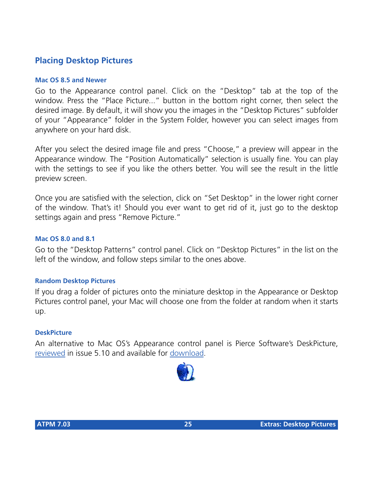#### **Placing Desktop Pictures**

#### **Mac OS 8.5 and Newer**

Go to the Appearance control panel. Click on the "Desktop" tab at the top of the window. Press the "Place Picture..." button in the bottom right corner, then select the desired image. By default, it will show you the images in the "Desktop Pictures" subfolder of your "Appearance" folder in the System Folder, however you can select images from anywhere on your hard disk.

After you select the desired image file and press "Choose," a preview will appear in the Appearance window. The "Position Automatically" selection is usually fine. You can play with the settings to see if you like the others better. You will see the result in the little preview screen.

Once you are satisfied with the selection, click on "Set Desktop" in the lower right corner of the window. That's it! Should you ever want to get rid of it, just go to the desktop settings again and press "Remove Picture."

#### **Mac OS 8.0 and 8.1**

Go to the "Desktop Patterns" control panel. Click on "Desktop Pictures" in the list on the left of the window, and follow steps similar to the ones above.

#### **Random Desktop Pictures**

If you drag a folder of pictures onto the miniature desktop in the Appearance or Desktop Pictures control panel, your Mac will choose one from the folder at random when it starts up.

#### **DeskPicture**

An alternative to Mac OS's Appearance control panel is Pierce Software's DeskPicture, [reviewed](http://www.atpm.com/5.10/roundup.shtml) in issue 5.10 and available for [download](http://www.peircesw.com/DeskPicture.html).

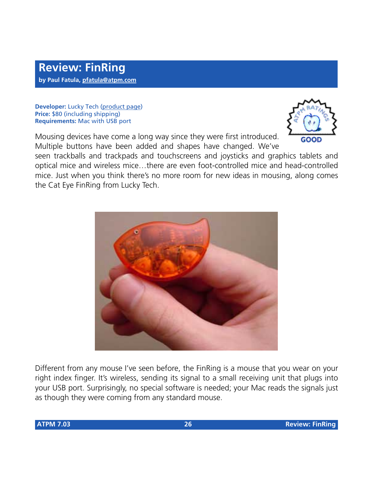**Developer:** Lucky Tech [\(product page\)](http://bosswave.com/mouse/finring/index.shtml) **Price:** \$80 (including shipping) **Requirements:** Mac with USB port

GOOD

Mousing devices have come a long way since they were first introduced. Multiple buttons have been added and shapes have changed. We've

seen trackballs and trackpads and touchscreens and joysticks and graphics tablets and optical mice and wireless mice…there are even foot-controlled mice and head-controlled mice. Just when you think there's no more room for new ideas in mousing, along comes the Cat Eye FinRing from Lucky Tech.



Different from any mouse I've seen before, the FinRing is a mouse that you wear on your right index finger. It's wireless, sending its signal to a small receiving unit that plugs into your USB port. Surprisingly, no special software is needed; your Mac reads the signals just as though they were coming from any standard mouse.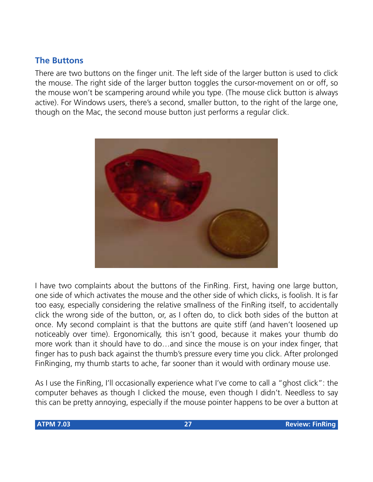#### **The Buttons**

There are two buttons on the finger unit. The left side of the larger button is used to click the mouse. The right side of the larger button toggles the cursor-movement on or off, so the mouse won't be scampering around while you type. (The mouse click button is always active). For Windows users, there's a second, smaller button, to the right of the large one, though on the Mac, the second mouse button just performs a regular click.



I have two complaints about the buttons of the FinRing. First, having one large button, one side of which activates the mouse and the other side of which clicks, is foolish. It is far too easy, especially considering the relative smallness of the FinRing itself, to accidentally click the wrong side of the button, or, as I often do, to click both sides of the button at once. My second complaint is that the buttons are quite stiff (and haven't loosened up noticeably over time). Ergonomically, this isn't good, because it makes your thumb do more work than it should have to do…and since the mouse is on your index finger, that finger has to push back against the thumb's pressure every time you click. After prolonged FinRinging, my thumb starts to ache, far sooner than it would with ordinary mouse use.

As I use the FinRing, I'll occasionally experience what I've come to call a "ghost click": the computer behaves as though I clicked the mouse, even though I didn't. Needless to say this can be pretty annoying, especially if the mouse pointer happens to be over a button at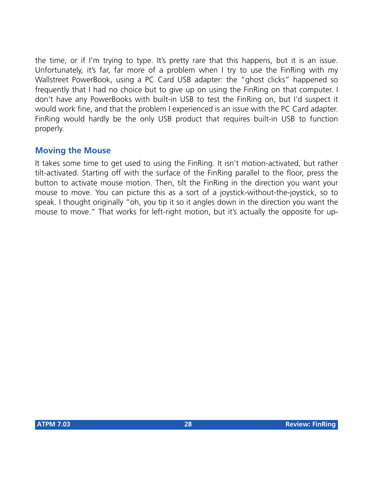the time, or if I'm trying to type. It's pretty rare that this happens, but it is an issue. Unfortunately, it's far, far more of a problem when I try to use the FinRing with my Wallstreet PowerBook, using a PC Card USB adapter: the "ghost clicks" happened so frequently that I had no choice but to give up on using the FinRing on that computer. I don't have any PowerBooks with built-in USB to test the FinRing on, but I'd suspect it would work fine, and that the problem I experienced is an issue with the PC Card adapter. FinRing would hardly be the only USB product that requires built-in USB to function properly.

#### **Moving the Mouse**

It takes some time to get used to using the FinRing. It isn't motion-activated, but rather tilt-activated. Starting off with the surface of the FinRing parallel to the floor, press the button to activate mouse motion. Then, tilt the FinRing in the direction you want your mouse to move. You can picture this as a sort of a joystick-without-the-joystick, so to speak. I thought originally "oh, you tip it so it angles down in the direction you want the mouse to move." That works for left-right motion, but it's actually the opposite for up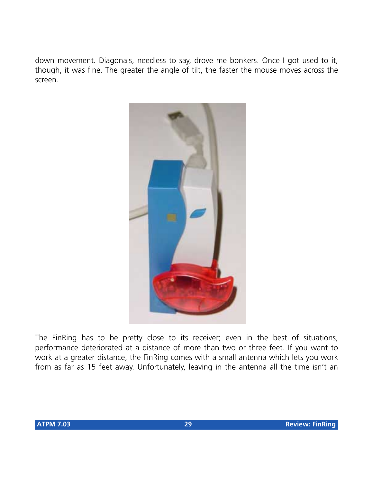down movement. Diagonals, needless to say, drove me bonkers. Once I got used to it, though, it was fine. The greater the angle of tilt, the faster the mouse moves across the screen.



The FinRing has to be pretty close to its receiver; even in the best of situations, performance deteriorated at a distance of more than two or three feet. If you want to work at a greater distance, the FinRing comes with a small antenna which lets you work from as far as 15 feet away. Unfortunately, leaving in the antenna all the time isn't an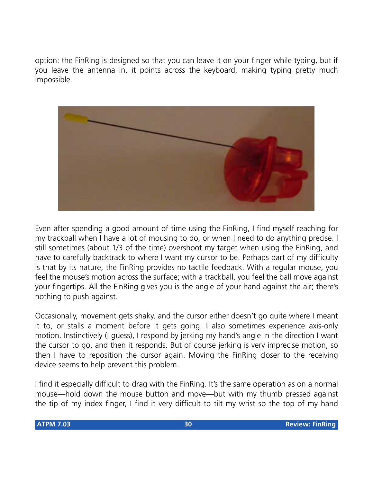option: the FinRing is designed so that you can leave it on your finger while typing, but if you leave the antenna in, it points across the keyboard, making typing pretty much impossible.



Even after spending a good amount of time using the FinRing, I find myself reaching for my trackball when I have a lot of mousing to do, or when I need to do anything precise. I still sometimes (about 1/3 of the time) overshoot my target when using the FinRing, and have to carefully backtrack to where I want my cursor to be. Perhaps part of my difficulty is that by its nature, the FinRing provides no tactile feedback. With a regular mouse, you feel the mouse's motion across the surface; with a trackball, you feel the ball move against your fingertips. All the FinRing gives you is the angle of your hand against the air; there's nothing to push against.

Occasionally, movement gets shaky, and the cursor either doesn't go quite where I meant it to, or stalls a moment before it gets going. I also sometimes experience axis-only motion. Instinctively (I guess), I respond by jerking my hand's angle in the direction I want the cursor to go, and then it responds. But of course jerking is very imprecise motion, so then I have to reposition the cursor again. Moving the FinRing closer to the receiving device seems to help prevent this problem.

I find it especially difficult to drag with the FinRing. It's the same operation as on a normal mouse—hold down the mouse button and move—but with my thumb pressed against the tip of my index finger, I find it very difficult to tilt my wrist so the top of my hand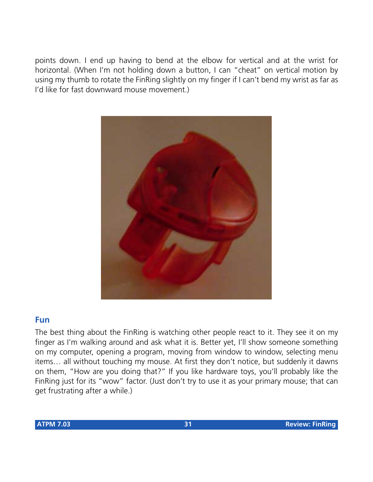points down. I end up having to bend at the elbow for vertical and at the wrist for horizontal. (When I'm not holding down a button, I can "cheat" on vertical motion by using my thumb to rotate the FinRing slightly on my finger if I can't bend my wrist as far as I'd like for fast downward mouse movement.)



#### **Fun**

The best thing about the FinRing is watching other people react to it. They see it on my finger as I'm walking around and ask what it is. Better yet, I'll show someone something on my computer, opening a program, moving from window to window, selecting menu items… all without touching my mouse. At first they don't notice, but suddenly it dawns on them, "How are you doing that?" If you like hardware toys, you'll probably like the FinRing just for its "wow" factor. (Just don't try to use it as your primary mouse; that can get frustrating after a while.)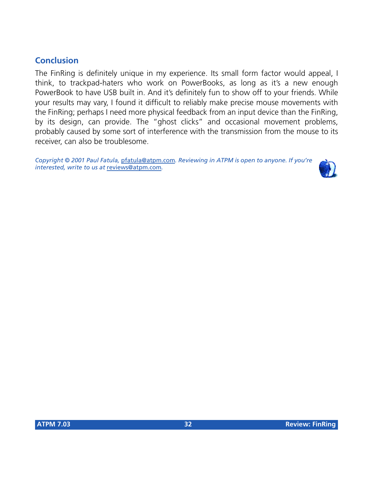#### **Conclusion**

The FinRing is definitely unique in my experience. Its small form factor would appeal, I think, to trackpad-haters who work on PowerBooks, as long as it's a new enough PowerBook to have USB built in. And it's definitely fun to show off to your friends. While your results may vary, I found it difficult to reliably make precise mouse movements with the FinRing; perhaps I need more physical feedback from an input device than the FinRing, by its design, can provide. The "ghost clicks" and occasional movement problems, probably caused by some sort of interference with the transmission from the mouse to its receiver, can also be troublesome.

*Copyright © 2001 Paul Fatula,* [pfatula@atpm.com](mailto:pfatula@atpm.com)*. Reviewing in ATPM is open to anyone. If you're interested, write to us at* [reviews@atpm.com](mailto:reviews@atpm.com)*.*

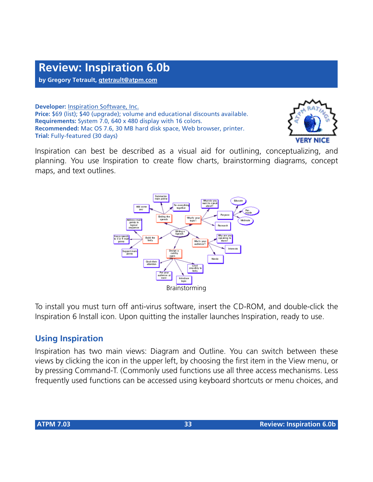**by Gregory Tetrault, [gtetrault@atpm.com](mailto:gtetrault@atpm.com)**

**Developer:** [Inspiration Software, Inc.](http://www.inspiration.com) **Price:** \$69 (list); \$40 (upgrade); volume and educational discounts available. **Requirements:** System 7.0, 640 x 480 display with 16 colors. **Recommended:** Mac OS 7.6, 30 MB hard disk space, Web browser, printer. **Trial:** Fully-featured (30 days)



Inspiration can best be described as a visual aid for outlining, conceptualizing, and planning. You use Inspiration to create flow charts, brainstorming diagrams, concept maps, and text outlines.



To install you must turn off anti-virus software, insert the CD-ROM, and double-click the Inspiration 6 Install icon. Upon quitting the installer launches Inspiration, ready to use.

#### **Using Inspiration**

Inspiration has two main views: Diagram and Outline. You can switch between these views by clicking the icon in the upper left, by choosing the first item in the View menu, or by pressing Command-T. (Commonly used functions use all three access mechanisms. Less frequently used functions can be accessed using keyboard shortcuts or menu choices, and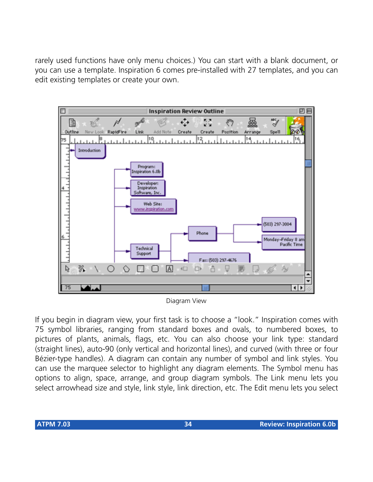rarely used functions have only menu choices.) You can start with a blank document, or you can use a template. Inspiration 6 comes pre-installed with 27 templates, and you can edit existing templates or create your own.



Diagram View

If you begin in diagram view, your first task is to choose a "look." Inspiration comes with 75 symbol libraries, ranging from standard boxes and ovals, to numbered boxes, to pictures of plants, animals, flags, etc. You can also choose your link type: standard (straight lines), auto-90 (only vertical and horizontal lines), and curved (with three or four Bézier-type handles). A diagram can contain any number of symbol and link styles. You can use the marquee selector to highlight any diagram elements. The Symbol menu has options to align, space, arrange, and group diagram symbols. The Link menu lets you select arrowhead size and style, link style, link direction, etc. The Edit menu lets you select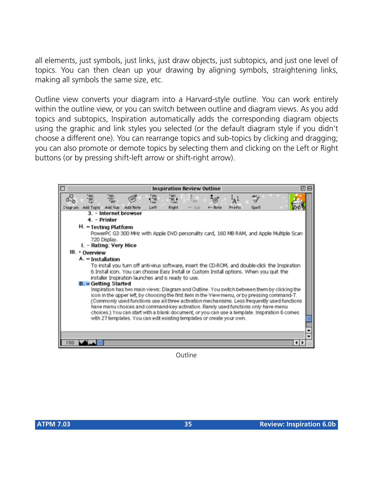all elements, just symbols, just links, just draw objects, just subtopics, and just one level of topics. You can then clean up your drawing by aligning symbols, straightening links, making all symbols the same size, etc.

Outline view converts your diagram into a Harvard-style outline. You can work entirely within the outline view, or you can switch between outline and diagram views. As you add topics and subtopics, Inspiration automatically adds the corresponding diagram objects using the graphic and link styles you selected (or the default diagram style if you didn't choose a different one). You can rearrange topics and sub-topics by clicking and dragging; you can also promote or demote topics by selecting them and clicking on the Left or Right buttons (or by pressing shift-left arrow or shift-right arrow).



**Outline**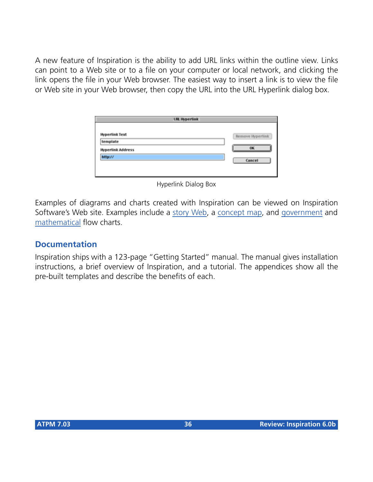A new feature of Inspiration is the ability to add URL links within the outline view. Links can point to a Web site or to a file on your computer or local network, and clicking the link opens the file in your Web browser. The easiest way to insert a link is to view the file or Web site in your Web browser, then copy the URL into the URL Hyperlink dialog box.

| <b>URL Hyperlink</b>     |                  |  |  |
|--------------------------|------------------|--|--|
| <b>Hyperlink Text</b>    | Remove Hyperlink |  |  |
| template                 |                  |  |  |
| <b>Hyperlink Address</b> | OK               |  |  |
| http://                  | Cancel           |  |  |
|                          |                  |  |  |
|                          |                  |  |  |

Hyperlink Dialog Box

Examples of diagrams and charts created with Inspiration can be viewed on Inspiration Software's Web site. Examples include a [story Web,](http://www.inspiration.com/diagrams/ed/sarah.html) a [concept map,](http://www.inspiration.com/diagrams/ed/conceptmap2.html) and [government](http://www.inspiration.com/diagrams/ed/branches.html) and [mathematical](http://www.inspiration.com/diagrams/ed/polynomial.html) flow charts.

#### **Documentation**

Inspiration ships with a 123-page "Getting Started" manual. The manual gives installation instructions, a brief overview of Inspiration, and a tutorial. The appendices show all the pre-built templates and describe the benefits of each.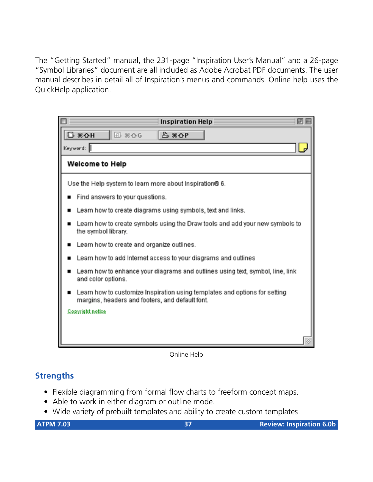The "Getting Started" manual, the 231-page "Inspiration User's Manual" and a 26-page "Symbol Libraries" document are all included as Adobe Acrobat PDF documents. The user manual describes in detail all of Inspiration's menus and commands. Online help uses the QuickHelp application.

| ØП<br><b>Inspiration Help</b>                                                                                                 |
|-------------------------------------------------------------------------------------------------------------------------------|
| <b>日 米心日</b><br><b>20 % △ G</b><br>$B$ $*$ $\Omega$ P                                                                         |
| Keyword:                                                                                                                      |
| Welcome to Help                                                                                                               |
| Use the Help system to learn more about Inspiration® 6.                                                                       |
| Find answers to your questions.                                                                                               |
| Learn how to create diagrams using symbols, text and links.                                                                   |
| Learn how to create symbols using the Draw tools and add your new symbols to<br>the symbol library.                           |
| Learn how to create and organize outlines.                                                                                    |
| Learn how to add Internet access to your diagrams and outlines                                                                |
| Learn how to enhance your diagrams and outlines using text, symbol, line, link<br>and color options.                          |
| Learn how to customize Inspiration using templates and options for setting<br>margins, headers and footers, and default font. |
| Copyright notice                                                                                                              |
|                                                                                                                               |
|                                                                                                                               |

Online Help

#### **Strengths**

- Flexible diagramming from formal flow charts to freeform concept maps.
- Able to work in either diagram or outline mode.
- Wide variety of prebuilt templates and ability to create custom templates.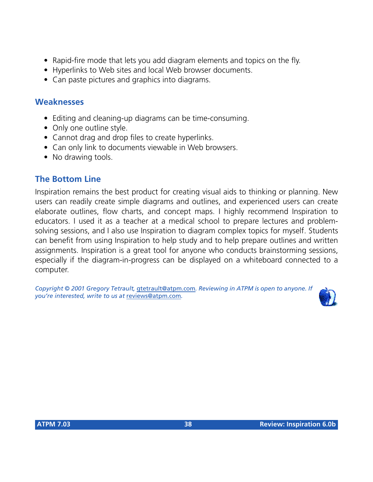- Rapid-fire mode that lets you add diagram elements and topics on the fly.
- Hyperlinks to Web sites and local Web browser documents.
- Can paste pictures and graphics into diagrams.

#### **Weaknesses**

- Editing and cleaning-up diagrams can be time-consuming.
- Only one outline style.
- Cannot drag and drop files to create hyperlinks.
- Can only link to documents viewable in Web browsers.
- No drawing tools.

#### **The Bottom Line**

Inspiration remains the best product for creating visual aids to thinking or planning. New users can readily create simple diagrams and outlines, and experienced users can create elaborate outlines, flow charts, and concept maps. I highly recommend Inspiration to educators. I used it as a teacher at a medical school to prepare lectures and problemsolving sessions, and I also use Inspiration to diagram complex topics for myself. Students can benefit from using Inspiration to help study and to help prepare outlines and written assignments. Inspiration is a great tool for anyone who conducts brainstorming sessions, especially if the diagram-in-progress can be displayed on a whiteboard connected to a computer.

*Copyright © 2001 Gregory Tetrault,* [gtetrault@atpm.com](mailto:gtetrault@atpm.com)*. Reviewing in ATPM is open to anyone. If you're interested, write to us at* [reviews@atpm.com](mailto:reviews@atpm.com)*.*

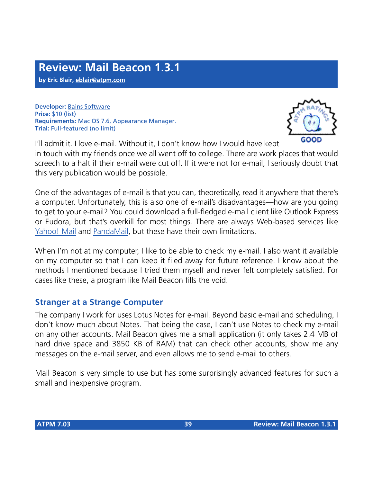**by Eric Blair, [eblair@atpm.com](mailto:eblair@atpm.com)**

**Developer:** [Bains Software](http://bains.hypermart.net) **Price:** \$10 (list) **Requirements:** Mac OS 7.6, Appearance Manager. **Trial:** Full-featured (no limit)



I'll admit it. I love e-mail. Without it, I don't know how I would have kept in touch with my friends once we all went off to college. There are work places that would screech to a halt if their e-mail were cut off. If it were not for e-mail, I seriously doubt that this very publication would be possible.

One of the advantages of e-mail is that you can, theoretically, read it anywhere that there's a computer. Unfortunately, this is also one of e-mail's disadvantages—how are you going to get to your e-mail? You could download a full-fledged e-mail client like Outlook Express or Eudora, but that's overkill for most things. There are always Web-based services like [Yahoo! Mail](http://mail.yahoo.com) and [PandaMail,](http://www.pandamail.net) but these have their own limitations.

When I'm not at my computer, I like to be able to check my e-mail. I also want it available on my computer so that I can keep it filed away for future reference. I know about the methods I mentioned because I tried them myself and never felt completely satisfied. For cases like these, a program like Mail Beacon fills the void.

#### **Stranger at a Strange Computer**

The company I work for uses Lotus Notes for e-mail. Beyond basic e-mail and scheduling, I don't know much about Notes. That being the case, I can't use Notes to check my e-mail on any other accounts. Mail Beacon gives me a small application (it only takes 2.4 MB of hard drive space and 3850 KB of RAM) that can check other accounts, show me any messages on the e-mail server, and even allows me to send e-mail to others.

Mail Beacon is very simple to use but has some surprisingly advanced features for such a small and inexpensive program.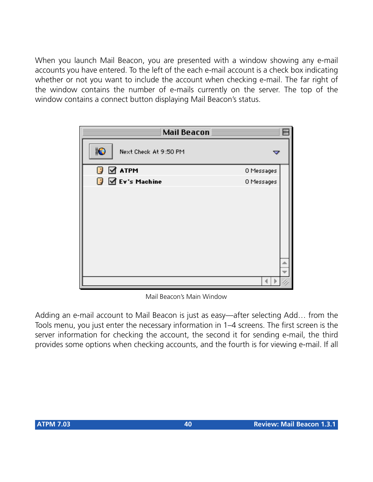When you launch Mail Beacon, you are presented with a window showing any e-mail accounts you have entered. To the left of the each e-mail account is a check box indicating whether or not you want to include the account when checking e-mail. The far right of the window contains the number of e-mails currently on the server. The top of the window contains a connect button displaying Mail Beacon's status.

| <b>Mail Beacon</b>             |            |
|--------------------------------|------------|
| ¦B<br>Next Check At 9:50 PM    |            |
| $\mathbb{F}$ $\mathbb{Z}$ atpm | 0 Messages |
| $\sqrt{3}$ Ev's Machine        | 0 Messages |
|                                |            |

Mail Beacon's Main Window

Adding an e-mail account to Mail Beacon is just as easy—after selecting Add… from the Tools menu, you just enter the necessary information in 1–4 screens. The first screen is the server information for checking the account, the second it for sending e-mail, the third provides some options when checking accounts, and the fourth is for viewing e-mail. If all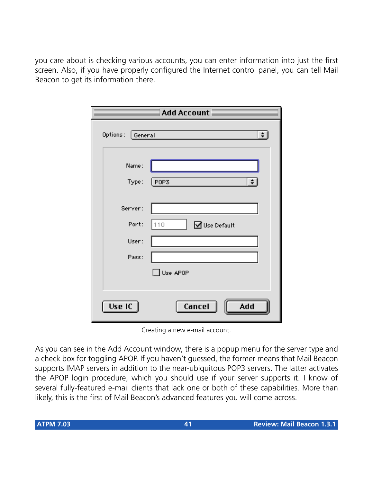you care about is checking various accounts, you can enter information into just the first screen. Also, if you have properly configured the Internet control panel, you can tell Mail Beacon to get its information there.

|                  | <b>Add Account</b>  |
|------------------|---------------------|
| Options: General | $\div$              |
| Name:<br>Type:   | POP3<br>$\div$      |
| Server:          |                     |
| Port:            | 110<br>■Use Default |
| User:            |                     |
| Pass:            |                     |
|                  | $\Box$ Use APOP     |
| Use IC $\vert$   | Cancel<br>Add       |

Creating a new e-mail account.

As you can see in the Add Account window, there is a popup menu for the server type and a check box for toggling APOP. If you haven't guessed, the former means that Mail Beacon supports IMAP servers in addition to the near-ubiquitous POP3 servers. The latter activates the APOP login procedure, which you should use if your server supports it. I know of several fully-featured e-mail clients that lack one or both of these capabilities. More than likely, this is the first of Mail Beacon's advanced features you will come across.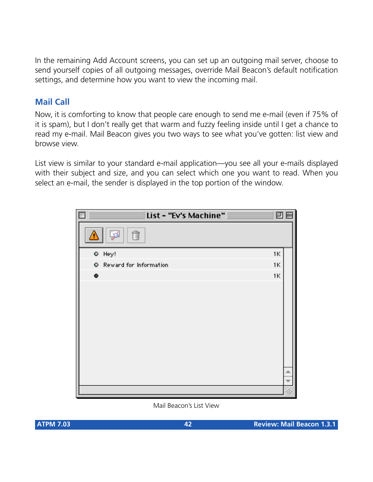In the remaining Add Account screens, you can set up an outgoing mail server, choose to send yourself copies of all outgoing messages, override Mail Beacon's default notification settings, and determine how you want to view the incoming mail.

#### **Mail Call**

Now, it is comforting to know that people care enough to send me e-mail (even if 75% of it is spam), but I don't really get that warm and fuzzy feeling inside until I get a chance to read my e-mail. Mail Beacon gives you two ways to see what you've gotten: list view and browse view.

List view is similar to your standard e-mail application—you see all your e-mails displayed with their subject and size, and you can select which one you want to read. When you select an e-mail, the sender is displayed in the top portion of the window.



#### Mail Beacon's List View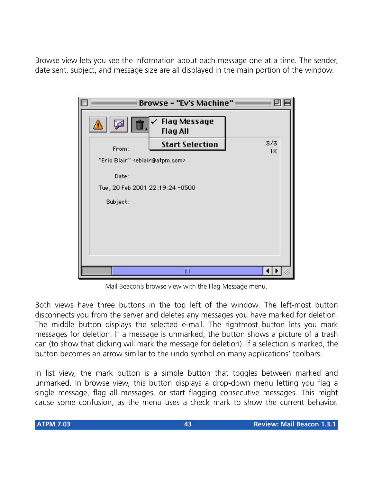Browse view lets you see the information about each message one at a time. The sender, date sent, subject, and message size are all displayed in the main portion of the window.



Mail Beacon's browse view with the Flag Message menu.

Both views have three buttons in the top left of the window. The left-most button disconnects you from the server and deletes any messages you have marked for deletion. The middle button displays the selected e-mail. The rightmost button lets you mark messages for deletion. If a message is unmarked, the button shows a picture of a trash can (to show that clicking will mark the message for deletion). If a selection is marked, the button becomes an arrow similar to the undo symbol on many applications' toolbars.

In list view, the mark button is a simple button that toggles between marked and unmarked. In browse view, this button displays a drop-down menu letting you flag a single message, flag all messages, or start flagging consecutive messages. This might cause some confusion, as the menu uses a check mark to show the current behavior.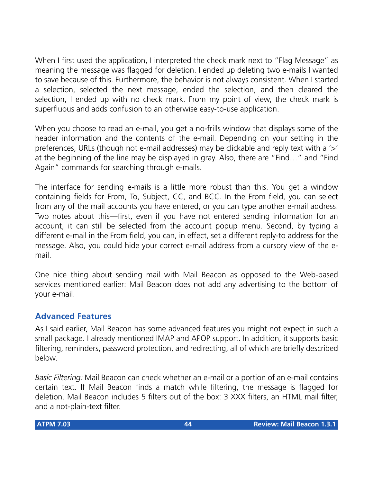When I first used the application, I interpreted the check mark next to "Flag Message" as meaning the message was flagged for deletion. I ended up deleting two e-mails I wanted to save because of this. Furthermore, the behavior is not always consistent. When I started a selection, selected the next message, ended the selection, and then cleared the selection, I ended up with no check mark. From my point of view, the check mark is superfluous and adds confusion to an otherwise easy-to-use application.

When you choose to read an e-mail, you get a no-frills window that displays some of the header information and the contents of the e-mail. Depending on your setting in the preferences, URLs (though not e-mail addresses) may be clickable and reply text with a '>' at the beginning of the line may be displayed in gray. Also, there are "Find…" and "Find Again" commands for searching through e-mails.

The interface for sending e-mails is a little more robust than this. You get a window containing fields for From, To, Subject, CC, and BCC. In the From field, you can select from any of the mail accounts you have entered, or you can type another e-mail address. Two notes about this—first, even if you have not entered sending information for an account, it can still be selected from the account popup menu. Second, by typing a different e-mail in the From field, you can, in effect, set a different reply-to address for the message. Also, you could hide your correct e-mail address from a cursory view of the email.

One nice thing about sending mail with Mail Beacon as opposed to the Web-based services mentioned earlier: Mail Beacon does not add any advertising to the bottom of your e-mail.

#### **Advanced Features**

As I said earlier, Mail Beacon has some advanced features you might not expect in such a small package. I already mentioned IMAP and APOP support. In addition, it supports basic filtering, reminders, password protection, and redirecting, all of which are briefly described below.

*Basic Filtering:* Mail Beacon can check whether an e-mail or a portion of an e-mail contains certain text. If Mail Beacon finds a match while filtering, the message is flagged for deletion. Mail Beacon includes 5 filters out of the box: 3 XXX filters, an HTML mail filter, and a not-plain-text filter.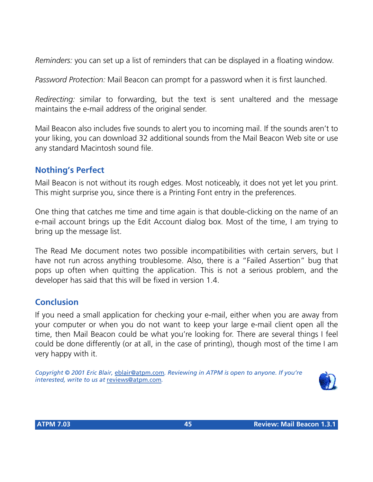*Reminders:* you can set up a list of reminders that can be displayed in a floating window.

*Password Protection:* Mail Beacon can prompt for a password when it is first launched.

*Redirecting:* similar to forwarding, but the text is sent unaltered and the message maintains the e-mail address of the original sender.

Mail Beacon also includes five sounds to alert you to incoming mail. If the sounds aren't to your liking, you can download 32 additional sounds from the Mail Beacon Web site or use any standard Macintosh sound file.

#### **Nothing's Perfect**

Mail Beacon is not without its rough edges. Most noticeably, it does not yet let you print. This might surprise you, since there is a Printing Font entry in the preferences.

One thing that catches me time and time again is that double-clicking on the name of an e-mail account brings up the Edit Account dialog box. Most of the time, I am trying to bring up the message list.

The Read Me document notes two possible incompatibilities with certain servers, but I have not run across anything troublesome. Also, there is a "Failed Assertion" bug that pops up often when quitting the application. This is not a serious problem, and the developer has said that this will be fixed in version 1.4.

#### **Conclusion**

If you need a small application for checking your e-mail, either when you are away from your computer or when you do not want to keep your large e-mail client open all the time, then Mail Beacon could be what you're looking for. There are several things I feel could be done differently (or at all, in the case of printing), though most of the time I am very happy with it.

*Copyright © 2001 Eric Blair,* [eblair@atpm.com](mailto:eblair@atpm.com)*. Reviewing in ATPM is open to anyone. If you're interested, write to us at* [reviews@atpm.com](mailto:reviews@atpm.com)*.*

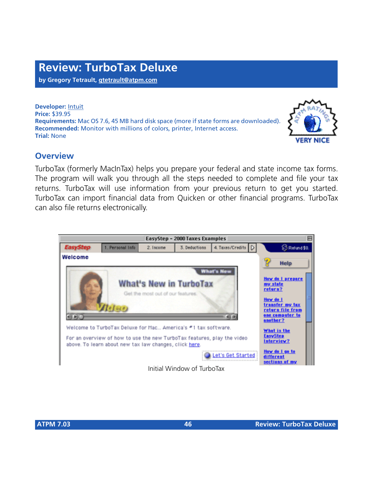**by Gregory Tetrault, [gtetrault@atpm.com](mailto:gtetrault@atpm.com)**

**Developer:** [Intuit](http://www.intuit.com) **Price:** \$39.95 **Requirements:** Mac OS 7.6, 45 MB hard disk space (more if state forms are downloaded). **Recommended:** Monitor with millions of colors, printer, Internet access. **Trial:** None

#### **Overview**

TurboTax (formerly MacInTax) helps you prepare your federal and state income tax forms. The program will walk you through all the steps needed to complete and file your tax returns. TurboTax will use information from your previous return to get you started. TurboTax can import financial data from Quicken or other financial programs. TurboTax can also file returns electronically.



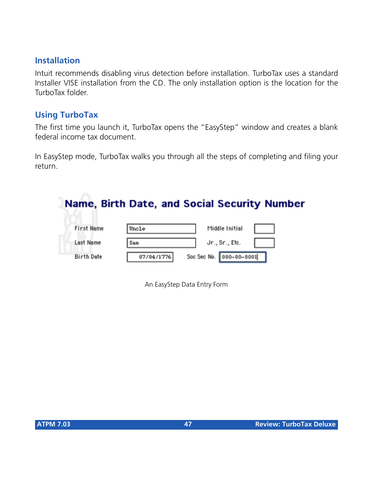#### **Installation**

Intuit recommends disabling virus detection before installation. TurboTax uses a standard Installer VISE installation from the CD. The only installation option is the location for the TurboTax folder.

#### **Using TurboTax**

The first time you launch it, TurboTax opens the "EasyStep" window and creates a blank federal income tax document.

In EasyStep mode, TurboTax walks you through all the steps of completing and filing your return.

## Name, Birth Date, and Social Security Number

| First Name | Uncle      | Middle Initial          |  |
|------------|------------|-------------------------|--|
| Last Name  | Sam        | Jr., Sr., Etc.          |  |
| Birth Date | 07/04/1776 | Soc Sec No. 000-00-0001 |  |

An EasyStep Data Entry Form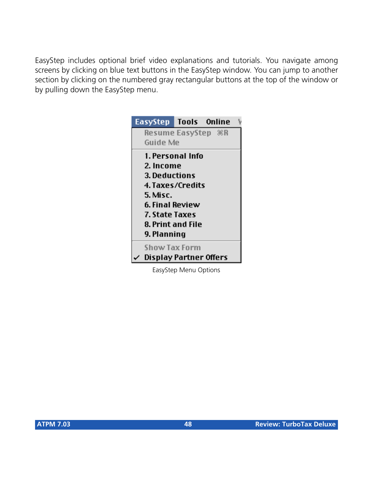EasyStep includes optional brief video explanations and tutorials. You navigate among screens by clicking on blue text buttons in the EasyStep window. You can jump to another section by clicking on the numbered gray rectangular buttons at the top of the window or by pulling down the EasyStep menu.

| EasyStep Tools Online  |                  |  |
|------------------------|------------------|--|
|                        |                  |  |
| Guide Me               |                  |  |
|                        | 1. Personal Info |  |
| 2. Income              |                  |  |
| <b>3. Deductions</b>   |                  |  |
| 4. Taxes/Credits       |                  |  |
| 5. Misc.               |                  |  |
| 6. Final Review        |                  |  |
| 7. State Taxes         |                  |  |
| 8. Print and File      |                  |  |
| 9. Planning            |                  |  |
| Show Tax Form          |                  |  |
| Display Partner Offers |                  |  |

EasyStep Menu Options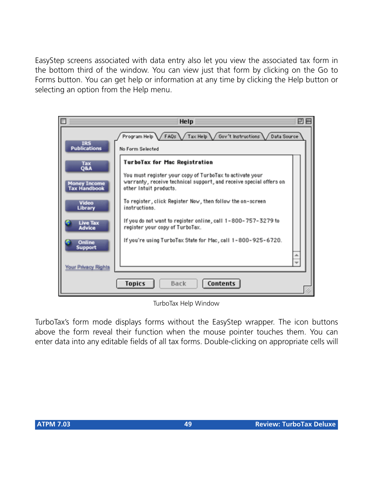EasyStep screens associated with data entry also let you view the associated tax form in the bottom third of the window. You can view just that form by clicking on the Go to Forms button. You can get help or information at any time by clicking the Help button or selecting an option from the Help menu.



TurboTax Help Window

TurboTax's form mode displays forms without the EasyStep wrapper. The icon buttons above the form reveal their function when the mouse pointer touches them. You can enter data into any editable fields of all tax forms. Double-clicking on appropriate cells will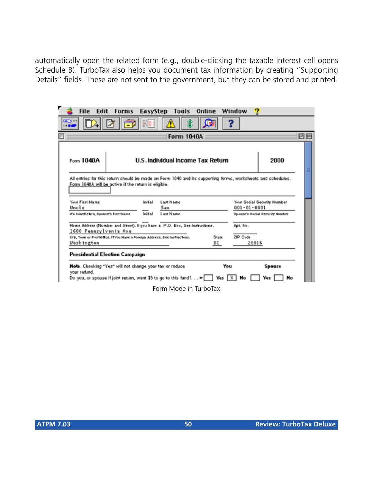automatically open the related form (e.g., double-clicking the taxable interest cell opens Schedule B). TurboTax also helps you document tax information by creating "Supporting Details" fields. These are not sent to the government, but they can be stored and printed.

| File<br>Edit                                                                                                                                                              | <b>Forms</b> | EasyStep                          | Tools                 | Online      | Window      | œ                                                                                                           |    |
|---------------------------------------------------------------------------------------------------------------------------------------------------------------------------|--------------|-----------------------------------|-----------------------|-------------|-------------|-------------------------------------------------------------------------------------------------------------|----|
| $CD =$<br><b> .</b>                                                                                                                                                       |              |                                   |                       |             |             |                                                                                                             |    |
|                                                                                                                                                                           |              |                                   | <b>Form 1040A</b>     |             |             |                                                                                                             | 凹目 |
| Form 1040A                                                                                                                                                                |              | U.S. Individual Income Tax Return |                       |             |             | 2000                                                                                                        |    |
| Form 1040A will be active if the return is eligible.                                                                                                                      |              |                                   |                       |             |             | All entries for this return should be made on Form 1040 and its supporting forms, worksheets and schedules. |    |
| <b>Your First Name</b><br>Uncle                                                                                                                                           |              | Initial<br>San                    | Last Name             |             | 001-01-0001 | Your Social Security Number                                                                                 |    |
| Ifa JointReturn, Spouse's FirstName                                                                                                                                       |              | Initial                           | Last Name             |             |             | <b>Sponse's Bocial Becurity Number</b>                                                                      |    |
| Home Address (Number and Street). If you have a P.O. Box, See Instructions.<br>1600 Pennsylvania Ave                                                                      |              |                                   |                       |             | Apt. No.    |                                                                                                             |    |
| City, Toun or PostOfice. If You Have a Foreign Address, Dee Instructions.<br>Washington                                                                                   |              |                                   |                       | State<br>DC | 21P Code    | 20016                                                                                                       |    |
| Presidential Election Campaign                                                                                                                                            |              |                                   |                       |             |             |                                                                                                             |    |
| Note. Checking "Yes" will not change your tax or reduce<br>your refund.<br>Do you, or spouse if joint return, want \$3 to go to this fund? $\blacktriangleright$ Yes X No |              |                                   |                       |             | You         | Spouse<br>Yes  <br>No                                                                                       |    |
|                                                                                                                                                                           |              |                                   | Form Mode in TurboTax |             |             |                                                                                                             |    |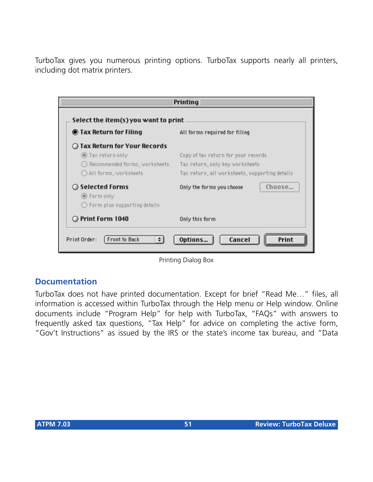TurboTax gives you numerous printing options. TurboTax supports nearly all printers, including dot matrix printers.

| ◉ Tax Return for Filing         | All forms required for filing                  |  |
|---------------------------------|------------------------------------------------|--|
| ◯ Tax Return for Your Records   |                                                |  |
| Tax return only                 | Copy of tax return for your records            |  |
| ◯ Recommended forms, worksheets | Tax return, only key worksheets                |  |
| ◯ All forms, worksheets         | Tax return, all worksheets, supporting details |  |
| ◯ Selected Forms                | Choose<br>Only the forms you choose            |  |
| ◉ Form only                     |                                                |  |
| ◯ Form plus supporting details  |                                                |  |
| O Print Form 1040               | Only this form                                 |  |

Printing Dialog Box

#### **Documentation**

TurboTax does not have printed documentation. Except for brief "Read Me…" files, all information is accessed within TurboTax through the Help menu or Help window. Online documents include "Program Help" for help with TurboTax, "FAQs" with answers to frequently asked tax questions, "Tax Help" for advice on completing the active form, "Gov't Instructions" as issued by the IRS or the state's income tax bureau, and "Data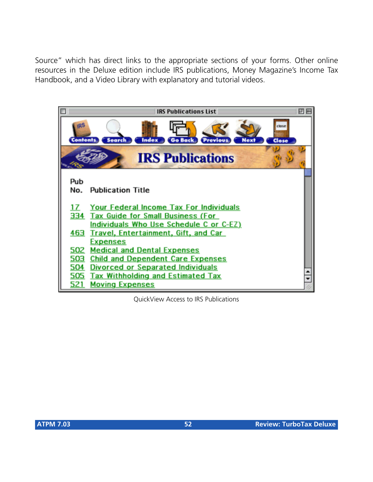Source" which has direct links to the appropriate sections of your forms. Other online resources in the Deluxe edition include IRS publications, Money Magazine's Income Tax Handbook, and a Video Library with explanatory and tutorial videos.



QuickView Access to IRS Publications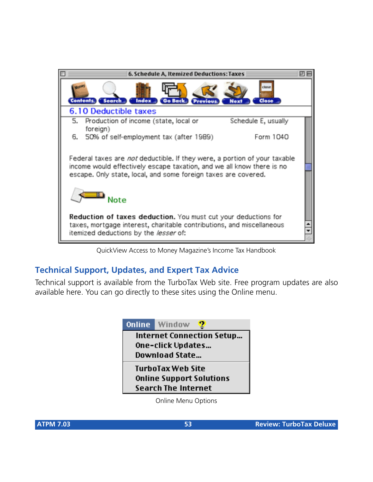

QuickView Access to Money Magazine's Income Tax Handbook

#### **Technical Support, Updates, and Expert Tax Advice**

Technical support is available from the TurboTax Web site. Free program updates are also available here. You can go directly to these sites using the Online menu.



Online Menu Options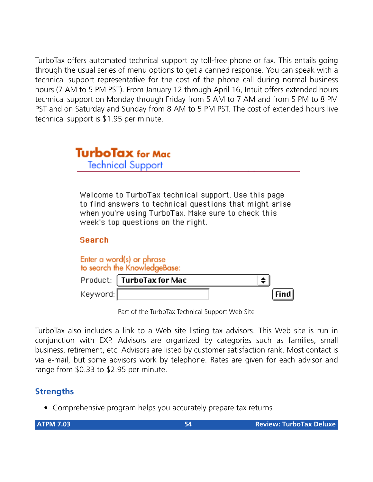TurboTax offers automated technical support by toll-free phone or fax. This entails going through the usual series of menu options to get a canned response. You can speak with a technical support representative for the cost of the phone call during normal business hours (7 AM to 5 PM PST). From January 12 through April 16, Intuit offers extended hours technical support on Monday through Friday from 5 AM to 7 AM and from 5 PM to 8 PM PST and on Saturday and Sunday from 8 AM to 5 PM PST. The cost of extended hours live technical support is \$1.95 per minute.



Welcome to TurboTax technical support. Use this page to find answers to technical questions that might arise when you're using TurboTax. Make sure to check this week's top questions on the right.

#### **Search**

|            | Enter a word(s) or phrase<br>to search the KnowledgeBase: |           |
|------------|-----------------------------------------------------------|-----------|
|            | Product: TurboTax for Mac                                 | $\bullet$ |
| Keyword: [ |                                                           | [Find]    |

Part of the TurboTax Technical Support Web Site

TurboTax also includes a link to a Web site listing tax advisors. This Web site is run in conjunction with EXP. Advisors are organized by categories such as families, small business, retirement, etc. Advisors are listed by customer satisfaction rank. Most contact is via e-mail, but some advisors work by telephone. Rates are given for each advisor and range from \$0.33 to \$2.95 per minute.

#### **Strengths**

• Comprehensive program helps you accurately prepare tax returns.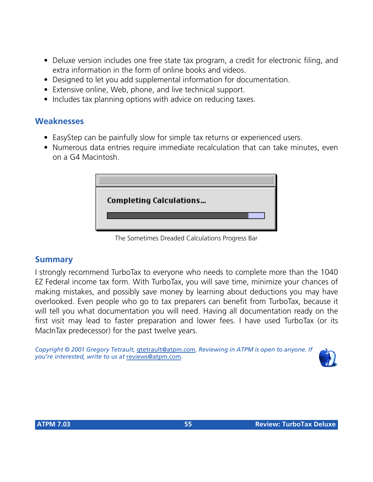- Deluxe version includes one free state tax program, a credit for electronic filing, and extra information in the form of online books and videos.
- Designed to let you add supplemental information for documentation.
- Extensive online, Web, phone, and live technical support.
- Includes tax planning options with advice on reducing taxes.

#### **Weaknesses**

- EasyStep can be painfully slow for simple tax returns or experienced users.
- Numerous data entries require immediate recalculation that can take minutes, even on a G4 Macintosh.



The Sometimes Dreaded Calculations Progress Bar

#### **Summary**

I strongly recommend TurboTax to everyone who needs to complete more than the 1040 EZ Federal income tax form. With TurboTax, you will save time, minimize your chances of making mistakes, and possibly save money by learning about deductions you may have overlooked. Even people who go to tax preparers can benefit from TurboTax, because it will tell you what documentation you will need. Having all documentation ready on the first visit may lead to faster preparation and lower fees. I have used TurboTax (or its MacInTax predecessor) for the past twelve years.

*Copyright © 2001 Gregory Tetrault,* [gtetrault@atpm.com](mailto:gtetrault@atpm.com)*. Reviewing in ATPM is open to anyone. If you're interested, write to us at* [reviews@atpm.com](mailto:reviews@atpm.com)*.*

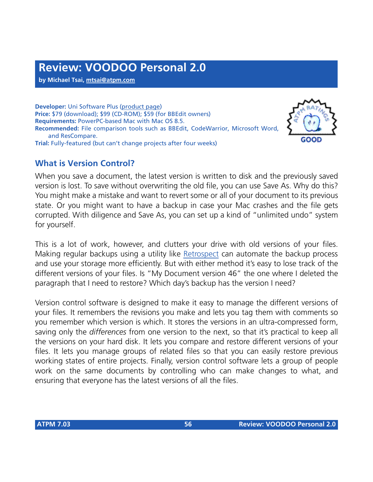**by Michael Tsai, [mtsai@atpm.com](mailto:mtsai@atpm.com)**

**Developer:** Uni Software Plus ([product page\)](http://www.unisoftwareplus.com/products/voodoopersonal.html) **Price:** \$79 (download); \$99 (CD-ROM); \$59 (for BBEdit owners) **Requirements:** PowerPC-based Mac with Mac OS 8.5. **Recommended:** File comparison tools such as BBEdit, CodeWarrior, Microsoft Word, and ResCompare. **Trial:** Fully-featured (but can't change projects after four weeks)

#### **What is Version Control?**



When you save a document, the latest version is written to disk and the previously saved version is lost. To save without overwriting the old file, you can use Save As. Why do this? You might make a mistake and want to revert some or all of your document to its previous state. Or you might want to have a backup in case your Mac crashes and the file gets corrupted. With diligence and Save As, you can set up a kind of "unlimited undo" system for yourself.

This is a lot of work, however, and clutters your drive with old versions of your files. Making regular backups using a utility like [Retrospect](http://www.atpm.com/6.06/retrospectexpress.shtml) can automate the backup process and use your storage more efficiently. But with either method it's easy to lose track of the different versions of your files. Is "My Document version 46" the one where I deleted the paragraph that I need to restore? Which day's backup has the version I need?

Version control software is designed to make it easy to manage the different versions of your files. It remembers the revisions you make and lets you tag them with comments so you remember which version is which. It stores the versions in an ultra-compressed form, saving only the *differences* from one version to the next, so that it's practical to keep all the versions on your hard disk. It lets you compare and restore different versions of your files. It lets you manage groups of related files so that you can easily restore previous working states of entire projects. Finally, version control software lets a group of people work on the same documents by controlling who can make changes to what, and ensuring that everyone has the latest versions of all the files.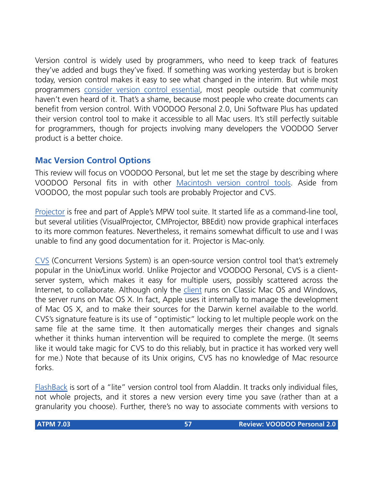Version control is widely used by programmers, who need to keep track of features they've added and bugs they've fixed. If something was working yesterday but is broken today, version control makes it easy to see what changed in the interim. But while most programmers [consider version control essential](http://www.mactech.com/articles/mactech/Vol.14/14.06/VersionControlAndTheDeveloper/index.html), most people outside that community haven't even heard of it. That's a shame, because most people who create documents can benefit from version control. With VOODOO Personal 2.0, Uni Software Plus has updated their version control tool to make it accessible to all Mac users. It's still perfectly suitable for programmers, though for projects involving many developers the VOODOO Server product is a better choice.

#### **Mac Version Control Options**

This review will focus on VOODOO Personal, but let me set the stage by describing where VOODOO Personal fits in with other [Macintosh version control tools](http://www.electricfish.com/hawkfish/macvcs/). Aside from VOODOO, the most popular such tools are probably Projector and CVS.

[Projector](http://developer.apple.com/tools/mpw-tools/) is free and part of Apple's MPW tool suite. It started life as a command-line tool, but several utilities (VisualProjector, CMProjector, BBEdit) now provide graphical interfaces to its more common features. Nevertheless, it remains somewhat difficult to use and I was unable to find any good documentation for it. Projector is Mac-only.

[CVS](http://www.cvshome.org/) (Concurrent Versions System) is an open-source version control tool that's extremely popular in the Unix/Linux world. Unlike Projector and VOODOO Personal, CVS is a clientserver system, which makes it easy for multiple users, possibly scattered across the Internet, to collaborate. Although only the [client](http://www.maccvs.org/) runs on Classic Mac OS and Windows, the server runs on Mac OS X. In fact, Apple uses it internally to manage the development of Mac OS X, and to make their sources for the Darwin kernel available to the world. CVS's signature feature is its use of "optimistic" locking to let multiple people work on the same file at the same time. It then automatically merges their changes and signals whether it thinks human intervention will be required to complete the merge. (It seems like it would take magic for CVS to do this reliably, but in practice it has worked very well for me.) Note that because of its Unix origins, CVS has no knowledge of Mac resource forks.

[FlashBack](http://www.aladdinsys.com/flashback/index.html) is sort of a "lite" version control tool from Aladdin. It tracks only individual files, not whole projects, and it stores a new version every time you save (rather than at a granularity you choose). Further, there's no way to associate comments with versions to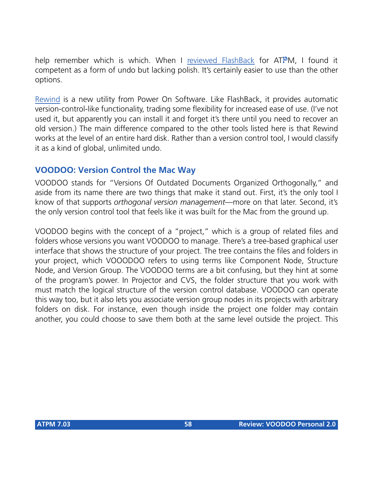help remember which is which. When I [reviewed FlashBack](http://www.atpm.com/4.01/page13.shtml) for ATPM, I found it competent as a form of undo but lacking polish. It's certainly easier to use than the other options.

[Rewind](http://www.poweronsoftware.com/products/rewind/) is a new utility from Power On Software. Like FlashBack, it provides automatic version-control-like functionality, trading some flexibility for increased ease of use. (I've not used it, but apparently you can install it and forget it's there until you need to recover an old version.) The main difference compared to the other tools listed here is that Rewind works at the level of an entire hard disk. Rather than a version control tool, I would classify it as a kind of global, unlimited undo.

#### **VOODOO: Version Control the Mac Way**

VOODOO stands for "Versions Of Outdated Documents Organized Orthogonally," and aside from its name there are two things that make it stand out. First, it's the only tool I know of that supports *orthogonal version management*—more on that later. Second, it's the only version control tool that feels like it was built for the Mac from the ground up.

VOODOO begins with the concept of a "project," which is a group of related files and folders whose versions you want VOODOO to manage. There's a tree-based graphical user interface that shows the structure of your project. The tree contains the files and folders in your project, which VOOODOO refers to using terms like Component Node, Structure Node, and Version Group. The VOODOO terms are a bit confusing, but they hint at some of the program's power. In Projector and CVS, the folder structure that you work with must match the logical structure of the version control database. VOODOO can operate this way too, but it also lets you associate version group nodes in its projects with arbitrary folders on disk. For instance, even though inside the project one folder may contain another, you could choose to save them both at the same level outside the project. This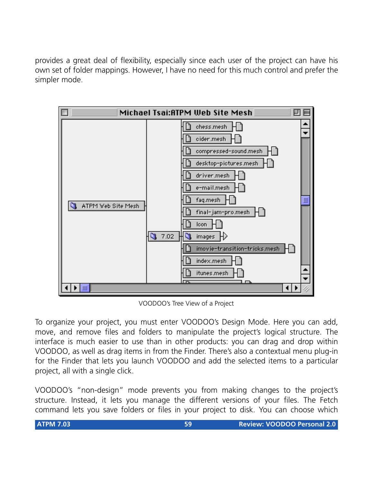provides a great deal of flexibility, especially since each user of the project can have his own set of folder mappings. However, I have no need for this much control and prefer the simpler mode.



VOODOO's Tree View of a Project

To organize your project, you must enter VOODOO's Design Mode. Here you can add, move, and remove files and folders to manipulate the project's logical structure. The interface is much easier to use than in other products: you can drag and drop within VOODOO, as well as drag items in from the Finder. There's also a contextual menu plug-in for the Finder that lets you launch VOODOO and add the selected items to a particular project, all with a single click.

VOODOO's "non-design" mode prevents you from making changes to the project's structure. Instead, it lets you manage the different versions of your files. The Fetch command lets you save folders or files in your project to disk. You can choose which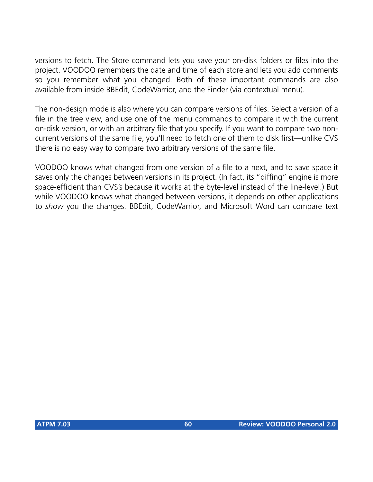versions to fetch. The Store command lets you save your on-disk folders or files into the project. VOODOO remembers the date and time of each store and lets you add comments so you remember what you changed. Both of these important commands are also available from inside BBEdit, CodeWarrior, and the Finder (via contextual menu).

The non-design mode is also where you can compare versions of files. Select a version of a file in the tree view, and use one of the menu commands to compare it with the current on-disk version, or with an arbitrary file that you specify. If you want to compare two noncurrent versions of the same file, you'll need to fetch one of them to disk first—unlike CVS there is no easy way to compare two arbitrary versions of the same file.

VOODOO knows what changed from one version of a file to a next, and to save space it saves only the changes between versions in its project. (In fact, its "diffing" engine is more space-efficient than CVS's because it works at the byte-level instead of the line-level.) But while VOODOO knows what changed between versions, it depends on other applications to *show* you the changes. BBEdit, CodeWarrior, and Microsoft Word can compare text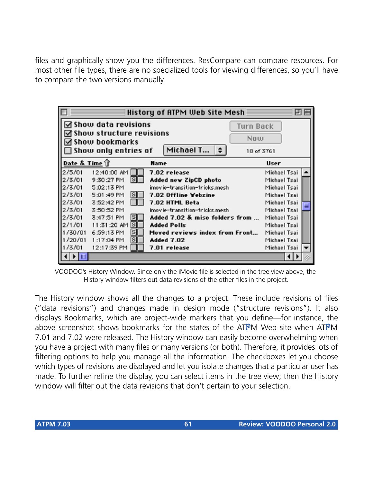files and graphically show you the differences. ResCompare can compare resources. For most other file types, there are no specialized tools for viewing differences, so you'll have to compare the two versions manually.

| E             |                                                                                                                          |                         | History of ATPM Web Site Mesh  |                                       |  |
|---------------|--------------------------------------------------------------------------------------------------------------------------|-------------------------|--------------------------------|---------------------------------------|--|
|               | ⊠ Show data revisions<br>$\boxdot$ Show structure revisions<br>$\boxtimes$ Show bookmarks<br>$\Box$ Show only entries of |                         | Michael T<br>⊩≑                | <b>Turn Back</b><br>Now<br>18 of 3761 |  |
| Date & Time 1 |                                                                                                                          |                         | Name                           | User                                  |  |
| 12/5/01       | 12:40:00 AM                                                                                                              |                         | 7.02 release                   | Michael Tsai                          |  |
| 2/3/01        | 9:30:27 PM                                                                                                               | S                       | Added new ZipCD photo          | Michael Tsai                          |  |
| 2/3/01        | 5:02:13 PM                                                                                                               |                         | imovie-transition-tricks.mesh  | Michael Tsai                          |  |
| 12/3/01       | 5:01:49 PM                                                                                                               | S                       | 7.02 Offline Webzine           | Michael Tsai                          |  |
| 2/3/01        | 3:52:42 PM                                                                                                               |                         | 7.02 HTML Beta                 | Michael Tsai                          |  |
| 12/3/01       | 3:50:52 PM                                                                                                               |                         | imovie-transition-tricks.mesh  | Michael Tsai                          |  |
| 12/3/01       | 3:47:51 PM                                                                                                               | $\overline{\mathbf{s}}$ | Added 7.02 & misc folders from | Michael Tsai                          |  |
| 12/1/01       | 11:31:20 AM                                                                                                              | S                       | <b>Added Polls</b>             | Michael Tsai                          |  |
| 1/30/01       | 6:59:13 PM                                                                                                               | s                       | Moved reviews index from Front | Michael Tsai                          |  |
| 1/20/01       | 1:17:04 PM                                                                                                               | s                       | Added 7.02                     | Michael Tsai                          |  |
| 1/3/01        | 12:17:39 PM                                                                                                              |                         | 7.01 release                   | Michael Tsai                          |  |
|               |                                                                                                                          |                         |                                |                                       |  |

VOODOO's History Window. Since only the iMovie file is selected in the tree view above, the History window filters out data revisions of the other files in the project.

The History window shows all the changes to a project. These include revisions of files ("data revisions") and changes made in design mode ("structure revisions"). It also displays Bookmarks, which are project-wide markers that you define—for instance, the above screenshot shows bookmarks for the states of the ATPM Web site when ATPM 7.01 and 7.02 were released. The History window can easily become overwhelming when you have a project with many files or many versions (or both). Therefore, it provides lots of filtering options to help you manage all the information. The checkboxes let you choose which types of revisions are displayed and let you isolate changes that a particular user has made. To further refine the display, you can select items in the tree view; then the History window will filter out the data revisions that don't pertain to your selection.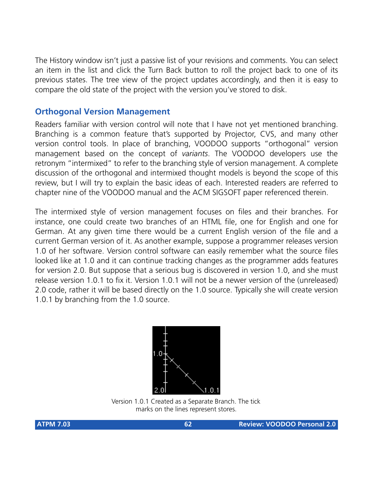The History window isn't just a passive list of your revisions and comments. You can select an item in the list and click the Turn Back button to roll the project back to one of its previous states. The tree view of the project updates accordingly, and then it is easy to compare the old state of the project with the version you've stored to disk.

#### **Orthogonal Version Management**

Readers familiar with version control will note that I have not yet mentioned branching. Branching is a common feature that's supported by Projector, CVS, and many other version control tools. In place of branching, VOODOO supports "orthogonal" version management based on the concept of *variants*. The VOODOO developers use the retronym "intermixed" to refer to the branching style of version management. A complete discussion of the orthogonal and intermixed thought models is beyond the scope of this review, but I will try to explain the basic ideas of each. Interested readers are referred to chapter nine of the VOODOO manual and the ACM SIGSOFT paper referenced therein.

The intermixed style of version management focuses on files and their branches. For instance, one could create two branches of an HTML file, one for English and one for German. At any given time there would be a current English version of the file and a current German version of it. As another example, suppose a programmer releases version 1.0 of her software. Version control software can easily remember what the source files looked like at 1.0 and it can continue tracking changes as the programmer adds features for version 2.0. But suppose that a serious bug is discovered in version 1.0, and she must release version 1.0.1 to fix it. Version 1.0.1 will not be a newer version of the (unreleased) 2.0 code, rather it will be based directly on the 1.0 source. Typically she will create version 1.0.1 by branching from the 1.0 source.



Version 1.0.1 Created as a Separate Branch. The tick marks on the lines represent stores.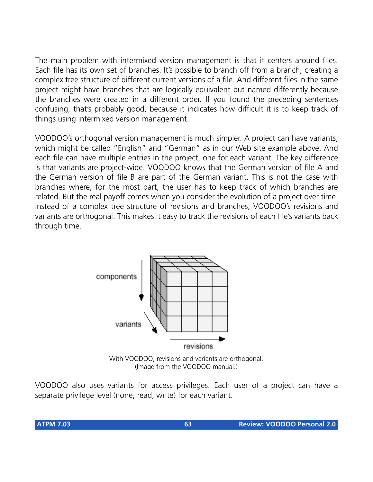The main problem with intermixed version management is that it centers around files. Each file has its own set of branches. It's possible to branch off from a branch, creating a complex tree structure of different current versions of a file. And different files in the same project might have branches that are logically equivalent but named differently because the branches were created in a different order. If you found the preceding sentences confusing, that's probably good, because it indicates how difficult it is to keep track of things using intermixed version management.

VOODOO's orthogonal version management is much simpler. A project can have variants, which might be called "English" and "German" as in our Web site example above. And each file can have multiple entries in the project, one for each variant. The key difference is that variants are project-wide. VOODOO knows that the German version of file A and the German version of file B are part of the German variant. This is not the case with branches where, for the most part, the user has to keep track of which branches are related. But the real payoff comes when you consider the evolution of a project over time. Instead of a complex tree structure of revisions and branches, VOODOO's revisions and variants are orthogonal. This makes it easy to track the revisions of each file's variants back through time.



With VOODOO, revisions and variants are orthogonal. (Image from the VOODOO manual.)

VOODOO also uses variants for access privileges. Each user of a project can have a separate privilege level (none, read, write) for each variant.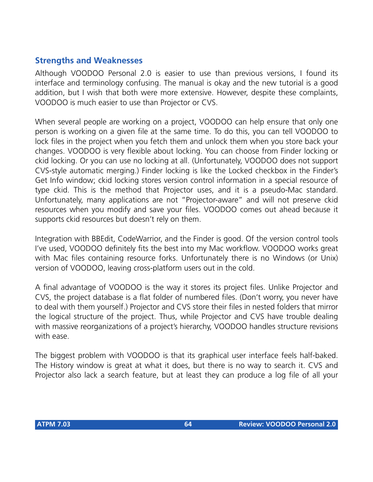#### **Strengths and Weaknesses**

Although VOODOO Personal 2.0 is easier to use than previous versions, I found its interface and terminology confusing. The manual is okay and the new tutorial is a good addition, but I wish that both were more extensive. However, despite these complaints, VOODOO is much easier to use than Projector or CVS.

When several people are working on a project, VOODOO can help ensure that only one person is working on a given file at the same time. To do this, you can tell VOODOO to lock files in the project when you fetch them and unlock them when you store back your changes. VOODOO is very flexible about locking. You can choose from Finder locking or ckid locking. Or you can use no locking at all. (Unfortunately, VOODOO does not support CVS-style automatic merging.) Finder locking is like the Locked checkbox in the Finder's Get Info window; ckid locking stores version control information in a special resource of type ckid. This is the method that Projector uses, and it is a pseudo-Mac standard. Unfortunately, many applications are not "Projector-aware" and will not preserve ckid resources when you modify and save your files. VOODOO comes out ahead because it supports ckid resources but doesn't rely on them.

Integration with BBEdit, CodeWarrior, and the Finder is good. Of the version control tools I've used, VOODOO definitely fits the best into my Mac workflow. VOODOO works great with Mac files containing resource forks. Unfortunately there is no Windows (or Unix) version of VOODOO, leaving cross-platform users out in the cold.

A final advantage of VOODOO is the way it stores its project files. Unlike Projector and CVS, the project database is a flat folder of numbered files. (Don't worry, you never have to deal with them yourself.) Projector and CVS store their files in nested folders that mirror the logical structure of the project. Thus, while Projector and CVS have trouble dealing with massive reorganizations of a project's hierarchy, VOODOO handles structure revisions with ease.

The biggest problem with VOODOO is that its graphical user interface feels half-baked. The History window is great at what it does, but there is no way to search it. CVS and Projector also lack a search feature, but at least they can produce a log file of all your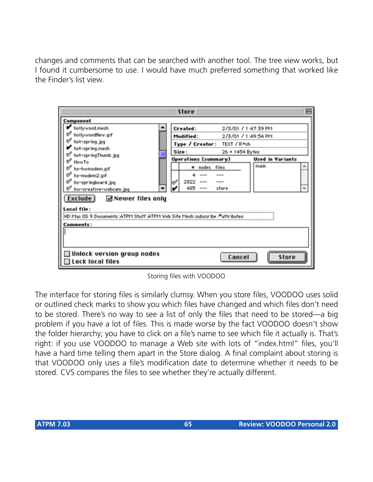changes and comments that can be searched with another tool. The tree view works, but I found it cumbersome to use. I would have much preferred something that worked like the Finder's list view.

| <b>Store</b>                                                  |  |                          |           |                                                                                                                                                                                                                                                                                                                                                                                              |                             |                         | ⊨ |
|---------------------------------------------------------------|--|--------------------------|-----------|----------------------------------------------------------------------------------------------------------------------------------------------------------------------------------------------------------------------------------------------------------------------------------------------------------------------------------------------------------------------------------------------|-----------------------------|-------------------------|---|
| Component                                                     |  |                          |           |                                                                                                                                                                                                                                                                                                                                                                                              |                             |                         |   |
| hollywood.mesh                                                |  | Created:                 |           |                                                                                                                                                                                                                                                                                                                                                                                              |                             | 2/3/01 / 1:47:39 PM     |   |
| hollywoodNew.gif                                              |  |                          | Modified: |                                                                                                                                                                                                                                                                                                                                                                                              |                             | 2/3/01 / 1:49:54 PM     |   |
| hot-spring.jpg                                                |  |                          |           |                                                                                                                                                                                                                                                                                                                                                                                              | Type / Creator: TEXT / R*ch |                         |   |
| hot-spring.mesh                                               |  | Size:<br>26 + 1454 Bytes |           |                                                                                                                                                                                                                                                                                                                                                                                              |                             |                         |   |
| hot-springThumb.jpg                                           |  |                          |           |                                                                                                                                                                                                                                                                                                                                                                                              | <b>Operations (summary)</b> | <b>Used in Variants</b> |   |
| How To<br>hs-hwmodem.gif                                      |  |                          | m         | nodes files                                                                                                                                                                                                                                                                                                                                                                                  |                             | main                    |   |
| hs-modem2.gif                                                 |  |                          |           | ---                                                                                                                                                                                                                                                                                                                                                                                          | ---                         |                         |   |
| hs-springboard.jpg                                            |  | ⇙                        | 2322      | $\frac{1}{2} \frac{1}{2} \frac{1}{2} \frac{1}{2} \frac{1}{2} \frac{1}{2} \frac{1}{2} \frac{1}{2} \frac{1}{2} \frac{1}{2} \frac{1}{2} \frac{1}{2} \frac{1}{2} \frac{1}{2} \frac{1}{2} \frac{1}{2} \frac{1}{2} \frac{1}{2} \frac{1}{2} \frac{1}{2} \frac{1}{2} \frac{1}{2} \frac{1}{2} \frac{1}{2} \frac{1}{2} \frac{1}{2} \frac{1}{2} \frac{1}{2} \frac{1}{2} \frac{1}{2} \frac{1}{2} \frac{$ | $- - -$                     |                         |   |
| hw-oreative-webcam.jpg                                        |  |                          | 485       | ---                                                                                                                                                                                                                                                                                                                                                                                          | store                       |                         |   |
| <b>Exclude</b><br>⊠ Newer files only                          |  |                          |           |                                                                                                                                                                                                                                                                                                                                                                                              |                             |                         |   |
|                                                               |  |                          |           |                                                                                                                                                                                                                                                                                                                                                                                              |                             |                         |   |
| Local file:                                                   |  |                          |           |                                                                                                                                                                                                                                                                                                                                                                                              |                             |                         |   |
| HD Mac OS 9:Documents:ATPM Stuff:ATPM Web Site Mesh:subscribe |  |                          |           |                                                                                                                                                                                                                                                                                                                                                                                              |                             |                         |   |
| Comments:                                                     |  |                          |           |                                                                                                                                                                                                                                                                                                                                                                                              |                             |                         |   |
|                                                               |  |                          |           |                                                                                                                                                                                                                                                                                                                                                                                              |                             |                         |   |
|                                                               |  |                          |           |                                                                                                                                                                                                                                                                                                                                                                                              |                             |                         |   |
|                                                               |  |                          |           |                                                                                                                                                                                                                                                                                                                                                                                              |                             |                         |   |
| $\Box$ Unlock version group nodes<br>Cancel<br>Store          |  |                          |           |                                                                                                                                                                                                                                                                                                                                                                                              |                             |                         |   |
| $\Box$ Lock local files                                       |  |                          |           |                                                                                                                                                                                                                                                                                                                                                                                              |                             |                         |   |

Storing files with VOODOO

The interface for storing files is similarly clumsy. When you store files, VOODOO uses solid or outlined check marks to show you which files have changed and which files don't need to be stored. There's no way to see a list of only the files that need to be stored—a big problem if you have a lot of files. This is made worse by the fact VOODOO doesn't show the folder hierarchy; you have to click on a file's name to see which file it actually is. That's right: if you use VOODOO to manage a Web site with lots of "index.html" files, you'll have a hard time telling them apart in the Store dialog. A final complaint about storing is that VOODOO only uses a file's modification date to determine whether it needs to be stored. CVS compares the files to see whether they're actually different.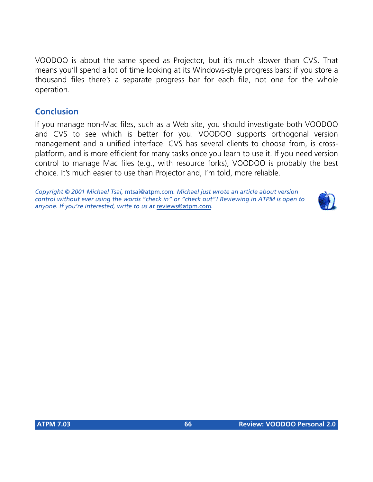VOODOO is about the same speed as Projector, but it's much slower than CVS. That means you'll spend a lot of time looking at its Windows-style progress bars; if you store a thousand files there's a separate progress bar for each file, not one for the whole operation.

#### **Conclusion**

If you manage non-Mac files, such as a Web site, you should investigate both VOODOO and CVS to see which is better for you. VOODOO supports orthogonal version management and a unified interface. CVS has several clients to choose from, is crossplatform, and is more efficient for many tasks once you learn to use it. If you need version control to manage Mac files (e.g., with resource forks), VOODOO is probably the best choice. It's much easier to use than Projector and, I'm told, more reliable.

*Copyright © 2001 Michael Tsai,* [mtsai@atpm.com](mailto:mtsai@atpm.com)*. Michael just wrote an article about version control without ever using the words "check in" or "check out"! Reviewing in ATPM is open to anyone. If you're interested, write to us at* [reviews@atpm.com](mailto:reviews@atpm.com)*.*

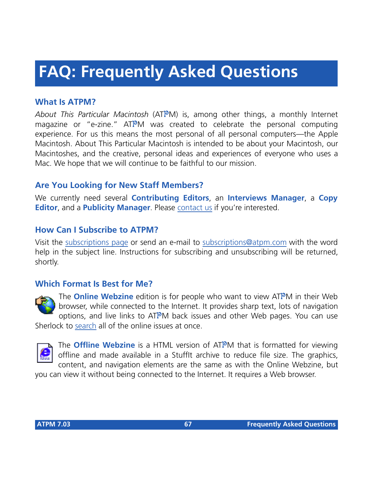# **FAQ: Frequently Asked Questions**

#### **What Is ATPM?**

*About This Particular Macintosh* (ATPM) is, among other things, a monthly Internet magazine or "e-zine." ATPM was created to celebrate the personal computing experience. For us this means the most personal of all personal computers—the Apple Macintosh. About This Particular Macintosh is intended to be about your Macintosh, our Macintoshes, and the creative, personal ideas and experiences of everyone who uses a Mac. We hope that we will continue to be faithful to our mission.

#### **Are You Looking for New Staff Members?**

We currently need several **Contributing Editors**, an **Interviews Manager**, a **Copy Editor**, and a **Publicity Manager**. Please [contact us](mailto:editor@atpm.com) if you're interested.

#### **How Can I Subscribe to ATPM?**

Visit the [subscriptions page](http://www.atpm.com/subscribe) or send an e-mail to [subscriptions@atpm.com](mailto:subscriptions@atpm.com) with the word help in the subject line. Instructions for subscribing and unsubscribing will be returned, shortly.

#### **Which Format Is Best for Me?**



The **Online Webzine** edition is for people who want to view ATPM in their Web browser, while connected to the Internet. It provides sharp text, lots of navigation options, and live links to ATPM back issues and other Web pages. You can use Sherlock to [search](http://www.atpm.com/search) all of the online issues at once.



The **Offline Webzine** is a HTML version of ATPM that is formatted for viewing offline and made available in a StuffIt archive to reduce file size. The graphics, content, and navigation elements are the same as with the Online Webzine, but

you can view it without being connected to the Internet. It requires a Web browser.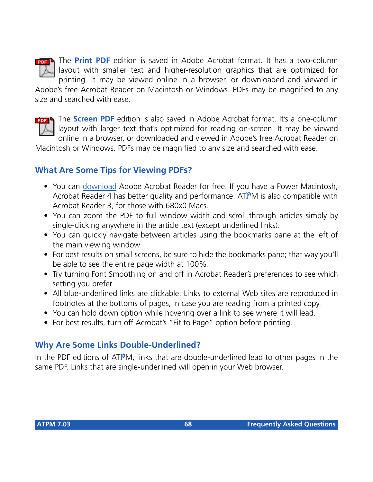

The **Print PDF** edition is saved in Adobe Acrobat format. It has a two-column layout with smaller text and higher-resolution graphics that are optimized for printing. It may be viewed online in a browser, or downloaded and viewed in

Adobe's free Acrobat Reader on Macintosh or Windows. PDFs may be magnified to any size and searched with ease.



The **Screen PDF** edition is also saved in Adobe Acrobat format. It's a one-column layout with larger text that's optimized for reading on-screen. It may be viewed online in a browser, or downloaded and viewed in Adobe's free Acrobat Reader on

Macintosh or Windows. PDFs may be magnified to any size and searched with ease.

#### **What Are Some Tips for Viewing PDFs?**

- You can [download](http://www.adobe.com/prodindex/acrobat/readstep.html) Adobe Acrobat Reader for free. If you have a Power Macintosh, Acrobat Reader 4 has better quality and performance. ATPM is also compatible with Acrobat Reader 3, for those with 680x0 Macs.
- You can zoom the PDF to full window width and scroll through articles simply by single-clicking anywhere in the article text (except underlined links).
- You can quickly navigate between articles using the bookmarks pane at the left of the main viewing window.
- For best results on small screens, be sure to hide the bookmarks pane; that way you'll be able to see the entire page width at 100%.
- Try turning Font Smoothing on and off in Acrobat Reader's preferences to see which setting you prefer.
- All blue-underlined links are clickable. Links to external Web sites are reproduced in footnotes at the bottoms of pages, in case you are reading from a printed copy.
- You can hold down option while hovering over a link to see where it will lead.
- For best results, turn off Acrobat's "Fit to Page" option before printing.

#### **Why Are Some Links Double-Underlined?**

In the PDF editions of ATPM, links that are double-underlined lead to other pages in the same PDF. Links that are single-underlined will open in your Web browser.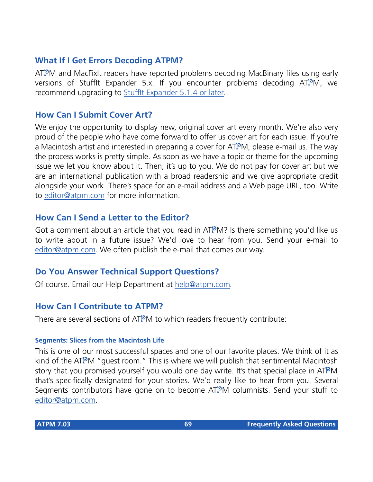#### **What If I Get Errors Decoding ATPM?**

ATPM and MacFixIt readers have reported problems decoding MacBinary files using early versions of Stufflt Expander 5.x. If you encounter problems decoding ATPM, we recommend upgrading to [StuffIt Expander 5.1.4 or later](http://www.aladdinsys.com/expander/index.html).

#### **How Can I Submit Cover Art?**

We enjoy the opportunity to display new, original cover art every month. We're also very proud of the people who have come forward to offer us cover art for each issue. If you're a Macintosh artist and interested in preparing a cover for ATPM, please e-mail us. The way the process works is pretty simple. As soon as we have a topic or theme for the upcoming issue we let you know about it. Then, it's up to you. We do not pay for cover art but we are an international publication with a broad readership and we give appropriate credit alongside your work. There's space for an e-mail address and a Web page URL, too. Write to [editor@atpm.com](mailto:editor@atpm.com) for more information.

#### **How Can I Send a Letter to the Editor?**

Got a comment about an article that you read in  $ATPM$ ? Is there something you'd like us to write about in a future issue? We'd love to hear from you. Send your e-mail to [editor@atpm.com.](mailto:editor@atpm.com) We often publish the e-mail that comes our way.

#### **Do You Answer Technical Support Questions?**

Of course. Email our Help Department at [help@atpm.com](mailto:help@atpm.com).

#### **How Can I Contribute to ATPM?**

There are several sections of ATPM to which readers frequently contribute:

#### **Segments: Slices from the Macintosh Life**

This is one of our most successful spaces and one of our favorite places. We think of it as kind of the ATPM "guest room." This is where we will publish that sentimental Macintosh story that you promised yourself you would one day write. It's that special place in ATPM that's specifically designated for your stories. We'd really like to hear from you. Several Segments contributors have gone on to become ATPM columnists. Send your stuff to [editor@atpm.com.](mailto:editor@atpm.com)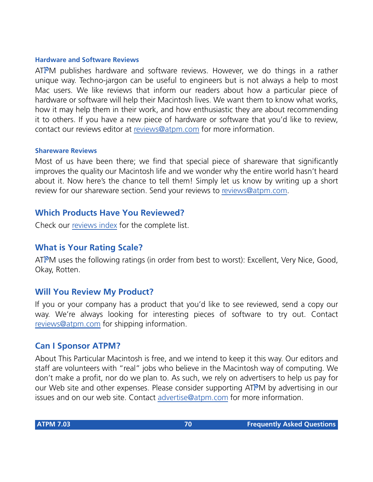#### **Hardware and Software Reviews**

ATPM publishes hardware and software reviews. However, we do things in a rather unique way. Techno-jargon can be useful to engineers but is not always a help to most Mac users. We like reviews that inform our readers about how a particular piece of hardware or software will help their Macintosh lives. We want them to know what works, how it may help them in their work, and how enthusiastic they are about recommending it to others. If you have a new piece of hardware or software that you'd like to review, contact our reviews editor at [reviews@atpm.com](mailto:reviews@atpm.com) for more information.

#### **Shareware Reviews**

Most of us have been there; we find that special piece of shareware that significantly improves the quality our Macintosh life and we wonder why the entire world hasn't heard about it. Now here's the chance to tell them! Simply let us know by writing up a short review for our shareware section. Send your reviews to [reviews@atpm.com](mailto:reviews@atpm.com).

#### **Which Products Have You Reviewed?**

Check our [reviews index](http://www.atpm.com/reviews) for the complete list.

#### **What is Your Rating Scale?**

ATPM uses the following ratings (in order from best to worst): Excellent, Very Nice, Good, Okay, Rotten.

#### **Will You Review My Product?**

If you or your company has a product that you'd like to see reviewed, send a copy our way. We're always looking for interesting pieces of software to try out. Contact [reviews@atpm.com](mailto:reviews@atpm.com) for shipping information.

#### **Can I Sponsor ATPM?**

About This Particular Macintosh is free, and we intend to keep it this way. Our editors and staff are volunteers with "real" jobs who believe in the Macintosh way of computing. We don't make a profit, nor do we plan to. As such, we rely on advertisers to help us pay for our Web site and other expenses. Please consider supporting ATPM by advertising in our issues and on our web site. Contact<advertise@atpm.com>for more information.